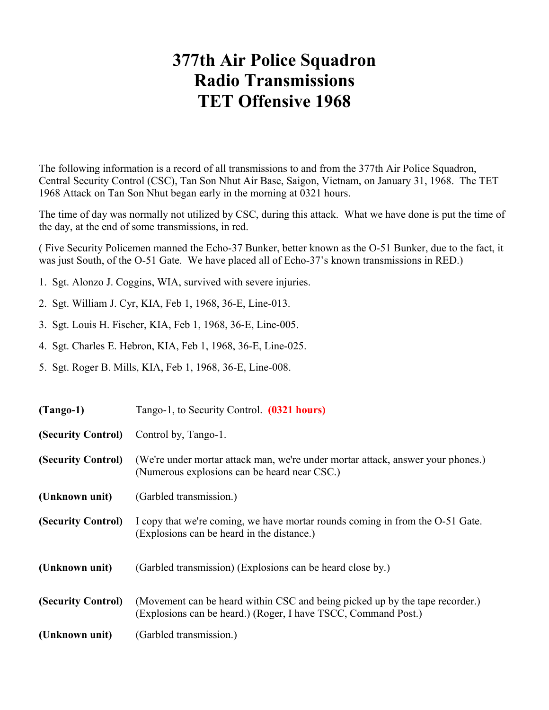## **377th Air Police Squadron Radio Transmissions TET Offensive 1968**

The following information is a record of all transmissions to and from the 377th Air Police Squadron, Central Security Control (CSC), Tan Son Nhut Air Base, Saigon, Vietnam, on January 31, 1968. The TET 1968 Attack on Tan Son Nhut began early in the morning at 0321 hours.

The time of day was normally not utilized by CSC, during this attack. What we have done is put the time of the day, at the end of some transmissions, in red.

( Five Security Policemen manned the Echo-37 Bunker, better known as the O-51 Bunker, due to the fact, it was just South, of the O-51 Gate. We have placed all of Echo-37's known transmissions in RED.)

- 1. Sgt. Alonzo J. Coggins, WIA, survived with severe injuries.
- 2. Sgt. William J. Cyr, KIA, Feb 1, 1968, 36-E, Line-013.
- 3. Sgt. Louis H. Fischer, KIA, Feb 1, 1968, 36-E, Line-005.
- 4. Sgt. Charles E. Hebron, KIA, Feb 1, 1968, 36-E, Line-025.
- 5. Sgt. Roger B. Mills, KIA, Feb 1, 1968, 36-E, Line-008.

| $(Tango-1)$        | Tango-1, to Security Control. (0321 hours)                                                                                                     |
|--------------------|------------------------------------------------------------------------------------------------------------------------------------------------|
| (Security Control) | Control by, Tango-1.                                                                                                                           |
| (Security Control) | (We're under mortar attack man, we're under mortar attack, answer your phones.)<br>(Numerous explosions can be heard near CSC.)                |
| (Unknown unit)     | (Garbled transmission.)                                                                                                                        |
| (Security Control) | I copy that we're coming, we have mortar rounds coming in from the O-51 Gate.<br>(Explosions can be heard in the distance.)                    |
| (Unknown unit)     | (Garbled transmission) (Explosions can be heard close by.)                                                                                     |
| (Security Control) | (Movement can be heard within CSC and being picked up by the tape recorder.)<br>(Explosions can be heard.) (Roger, I have TSCC, Command Post.) |
| (Unknown unit)     | (Garbled transmission.)                                                                                                                        |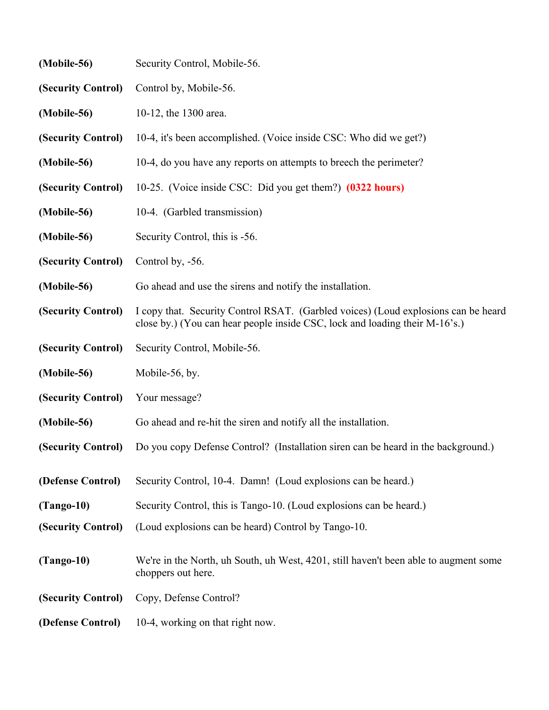| (Mobile-56)        | Security Control, Mobile-56.                                                                                                                                      |
|--------------------|-------------------------------------------------------------------------------------------------------------------------------------------------------------------|
| (Security Control) | Control by, Mobile-56.                                                                                                                                            |
| (Mobile-56)        | 10-12, the 1300 area.                                                                                                                                             |
| (Security Control) | 10-4, it's been accomplished. (Voice inside CSC: Who did we get?)                                                                                                 |
| (Mobile-56)        | 10-4, do you have any reports on attempts to breech the perimeter?                                                                                                |
| (Security Control) | 10-25. (Voice inside CSC: Did you get them?) (0322 hours)                                                                                                         |
| (Mobile-56)        | 10-4. (Garbled transmission)                                                                                                                                      |
| (Mobile-56)        | Security Control, this is -56.                                                                                                                                    |
| (Security Control) | Control by, -56.                                                                                                                                                  |
| (Mobile-56)        | Go ahead and use the sirens and notify the installation.                                                                                                          |
| (Security Control) | I copy that. Security Control RSAT. (Garbled voices) (Loud explosions can be heard<br>close by.) (You can hear people inside CSC, lock and loading their M-16's.) |
| (Security Control) | Security Control, Mobile-56.                                                                                                                                      |
| (Mobile-56)        | Mobile-56, by.                                                                                                                                                    |
| (Security Control) | Your message?                                                                                                                                                     |
| (Mobile-56)        | Go ahead and re-hit the siren and notify all the installation.                                                                                                    |
| (Security Control) | Do you copy Defense Control? (Installation siren can be heard in the background.)                                                                                 |
| (Defense Control)  | Security Control, 10-4. Damn! (Loud explosions can be heard.)                                                                                                     |
| $(Tango-10)$       | Security Control, this is Tango-10. (Loud explosions can be heard.)                                                                                               |
| (Security Control) | (Loud explosions can be heard) Control by Tango-10.                                                                                                               |
| $(Tango-10)$       | We're in the North, uh South, uh West, 4201, still haven't been able to augment some<br>choppers out here.                                                        |
| (Security Control) | Copy, Defense Control?                                                                                                                                            |
| (Defense Control)  | 10-4, working on that right now.                                                                                                                                  |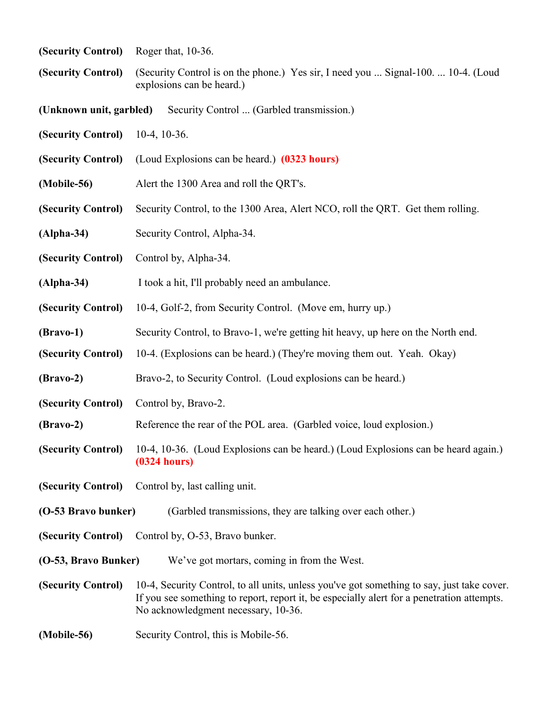|  |  | (Security Control) | Roger that, 10-36. |  |  |
|--|--|--------------------|--------------------|--|--|
|--|--|--------------------|--------------------|--|--|

- **(Security Control)** (Security Control is on the phone.) Yes sir, I need you ... Signal-100. ... 10-4. (Loud explosions can be heard.)
- **(Unknown unit, garbled)** Security Control ... (Garbled transmission.)
- **(Security Control)** 10-4, 10-36.
- **(Security Control)** (Loud Explosions can be heard.) **(0323 hours)**
- **(Mobile-56)** Alert the 1300 Area and roll the QRT's.
- **(Security Control)** Security Control, to the 1300 Area, Alert NCO, roll the QRT. Get them rolling.
- **(Alpha-34)** Security Control, Alpha-34.
- **(Security Control)** Control by, Alpha-34.
- **(Alpha-34)** I took a hit, I'll probably need an ambulance.
- **(Security Control)** 10-4, Golf-2, from Security Control. (Move em, hurry up.)
- **(Bravo-1)** Security Control, to Bravo-1, we're getting hit heavy, up here on the North end.
- **(Security Control)** 10-4. (Explosions can be heard.) (They're moving them out. Yeah. Okay)
- **(Bravo-2)** Bravo-2, to Security Control. (Loud explosions can be heard.)
- **(Security Control)** Control by, Bravo-2.
- **(Bravo-2)** Reference the rear of the POL area. (Garbled voice, loud explosion.)
- **(Security Control)** 10-4, 10-36. (Loud Explosions can be heard.) (Loud Explosions can be heard again.) **(0324 hours)**
- **(Security Control)** Control by, last calling unit.
- **(O-53 Bravo bunker)** (Garbled transmissions, they are talking over each other.)
- **(Security Control)** Control by, O-53, Bravo bunker.
- **(O-53, Bravo Bunker)** We've got mortars, coming in from the West.
- **(Security Control)** 10-4, Security Control, to all units, unless you've got something to say, just take cover. If you see something to report, report it, be especially alert for a penetration attempts. No acknowledgment necessary, 10-36.
- **(Mobile-56)** Security Control, this is Mobile-56.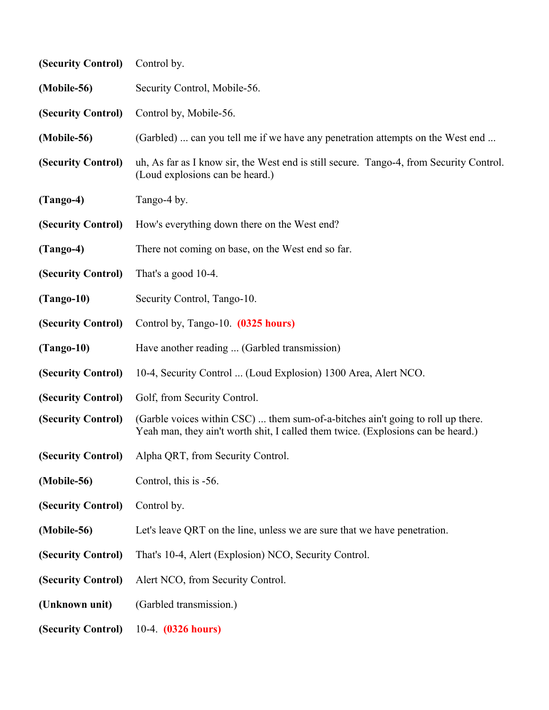| (Security Control) | Control by.                                                                                                                                                         |
|--------------------|---------------------------------------------------------------------------------------------------------------------------------------------------------------------|
| (Mobile-56)        | Security Control, Mobile-56.                                                                                                                                        |
| (Security Control) | Control by, Mobile-56.                                                                                                                                              |
| (Mobile-56)        | (Garbled)  can you tell me if we have any penetration attempts on the West end                                                                                      |
| (Security Control) | uh, As far as I know sir, the West end is still secure. Tango-4, from Security Control.<br>(Loud explosions can be heard.)                                          |
| $(Tango-4)$        | Tango-4 by.                                                                                                                                                         |
| (Security Control) | How's everything down there on the West end?                                                                                                                        |
| $(Tango-4)$        | There not coming on base, on the West end so far.                                                                                                                   |
| (Security Control) | That's a good 10-4.                                                                                                                                                 |
| $(Tango-10)$       | Security Control, Tango-10.                                                                                                                                         |
| (Security Control) | Control by, Tango-10. (0325 hours)                                                                                                                                  |
| $(Tango-10)$       | Have another reading  (Garbled transmission)                                                                                                                        |
| (Security Control) | 10-4, Security Control  (Loud Explosion) 1300 Area, Alert NCO.                                                                                                      |
| (Security Control) | Golf, from Security Control.                                                                                                                                        |
| (Security Control) | (Garble voices within CSC)  them sum-of-a-bitches ain't going to roll up there.<br>Yeah man, they ain't worth shit, I called them twice. (Explosions can be heard.) |
| (Security Control) | Alpha QRT, from Security Control.                                                                                                                                   |
| (Mobile-56)        | Control, this is -56.                                                                                                                                               |
| (Security Control) | Control by.                                                                                                                                                         |
| (Mobile-56)        | Let's leave QRT on the line, unless we are sure that we have penetration.                                                                                           |
| (Security Control) | That's 10-4, Alert (Explosion) NCO, Security Control.                                                                                                               |
| (Security Control) | Alert NCO, from Security Control.                                                                                                                                   |
| (Unknown unit)     | (Garbled transmission.)                                                                                                                                             |
| (Security Control) | 10-4. (0326 hours)                                                                                                                                                  |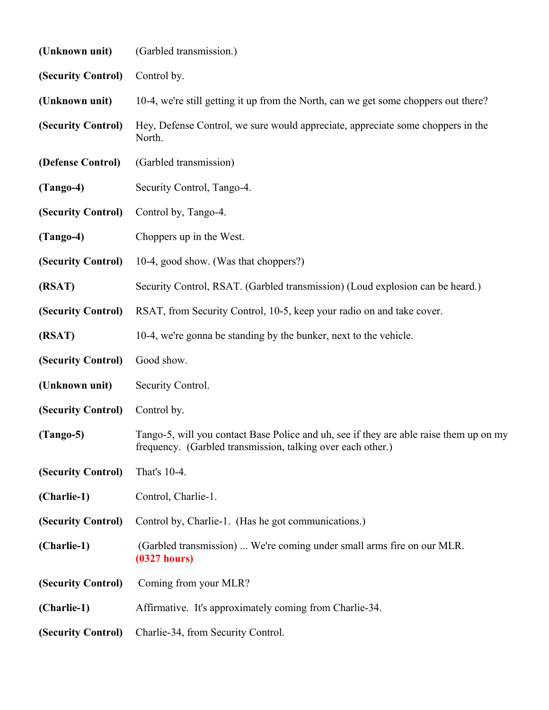| (Unknown unit)     | (Garbled transmission.)                                                                                                                               |
|--------------------|-------------------------------------------------------------------------------------------------------------------------------------------------------|
| (Security Control) | Control by.                                                                                                                                           |
| (Unknown unit)     | 10-4, we're still getting it up from the North, can we get some choppers out there?                                                                   |
| (Security Control) | Hey, Defense Control, we sure would appreciate, appreciate some choppers in the<br>North.                                                             |
| (Defense Control)  | (Garbled transmission)                                                                                                                                |
| $(Tango-4)$        | Security Control, Tango-4.                                                                                                                            |
| (Security Control) | Control by, Tango-4.                                                                                                                                  |
| $(Tango-4)$        | Choppers up in the West.                                                                                                                              |
| (Security Control) | 10-4, good show. (Was that choppers?)                                                                                                                 |
| (RSAT)             | Security Control, RSAT. (Garbled transmission) (Loud explosion can be heard.)                                                                         |
| (Security Control) | RSAT, from Security Control, 10-5, keep your radio on and take cover.                                                                                 |
| (RSAT)             | 10-4, we're gonna be standing by the bunker, next to the vehicle.                                                                                     |
| (Security Control) | Good show.                                                                                                                                            |
| (Unknown unit)     | Security Control.                                                                                                                                     |
| (Security Control) | Control by.                                                                                                                                           |
| $(Tango-5)$        | Tango-5, will you contact Base Police and uh, see if they are able raise them up on my<br>frequency. (Garbled transmission, talking over each other.) |
| (Security Control) | That's 10-4.                                                                                                                                          |
| (Charlie-1)        | Control, Charlie-1.                                                                                                                                   |
| (Security Control) | Control by, Charlie-1. (Has he got communications.)                                                                                                   |
| (Charlie-1)        | (Garbled transmission)  We're coming under small arms fire on our MLR.<br>$(0327)$ hours)                                                             |
| (Security Control) | Coming from your MLR?                                                                                                                                 |
| (Charlie-1)        | Affirmative. It's approximately coming from Charlie-34.                                                                                               |
| (Security Control) | Charlie-34, from Security Control.                                                                                                                    |
|                    |                                                                                                                                                       |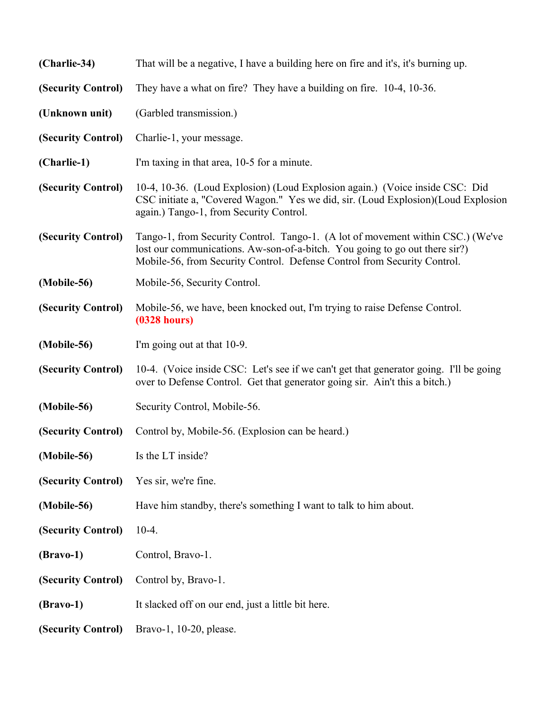| (Charlie-34)       | That will be a negative, I have a building here on fire and it's, it's burning up.                                                                                                                                                         |
|--------------------|--------------------------------------------------------------------------------------------------------------------------------------------------------------------------------------------------------------------------------------------|
| (Security Control) | They have a what on fire? They have a building on fire. 10-4, 10-36.                                                                                                                                                                       |
| (Unknown unit)     | (Garbled transmission.)                                                                                                                                                                                                                    |
| (Security Control) | Charlie-1, your message.                                                                                                                                                                                                                   |
| (Charlie-1)        | I'm taxing in that area, 10-5 for a minute.                                                                                                                                                                                                |
| (Security Control) | 10-4, 10-36. (Loud Explosion) (Loud Explosion again.) (Voice inside CSC: Did<br>CSC initiate a, "Covered Wagon." Yes we did, sir. (Loud Explosion) (Loud Explosion<br>again.) Tango-1, from Security Control.                              |
| (Security Control) | Tango-1, from Security Control. Tango-1. (A lot of movement within CSC.) (We've<br>lost our communications. Aw-son-of-a-bitch. You going to go out there sir?)<br>Mobile-56, from Security Control. Defense Control from Security Control. |
| (Mobile-56)        | Mobile-56, Security Control.                                                                                                                                                                                                               |
| (Security Control) | Mobile-56, we have, been knocked out, I'm trying to raise Defense Control.<br>$(0328 \text{ hours})$                                                                                                                                       |
| (Mobile-56)        | I'm going out at that 10-9.                                                                                                                                                                                                                |
| (Security Control) | 10-4. (Voice inside CSC: Let's see if we can't get that generator going. I'll be going<br>over to Defense Control. Get that generator going sir. Ain't this a bitch.)                                                                      |
| (Mobile-56)        | Security Control, Mobile-56.                                                                                                                                                                                                               |
| (Security Control) | Control by, Mobile-56. (Explosion can be heard.)                                                                                                                                                                                           |
| (Mobile-56)        | Is the LT inside?                                                                                                                                                                                                                          |
| (Security Control) | Yes sir, we're fine.                                                                                                                                                                                                                       |
| (Mobile-56)        | Have him standby, there's something I want to talk to him about.                                                                                                                                                                           |
| (Security Control) | $10-4.$                                                                                                                                                                                                                                    |
| $(Bravo-1)$        | Control, Bravo-1.                                                                                                                                                                                                                          |
| (Security Control) | Control by, Bravo-1.                                                                                                                                                                                                                       |
| $(Bravo-1)$        | It slacked off on our end, just a little bit here.                                                                                                                                                                                         |
| (Security Control) | Bravo-1, 10-20, please.                                                                                                                                                                                                                    |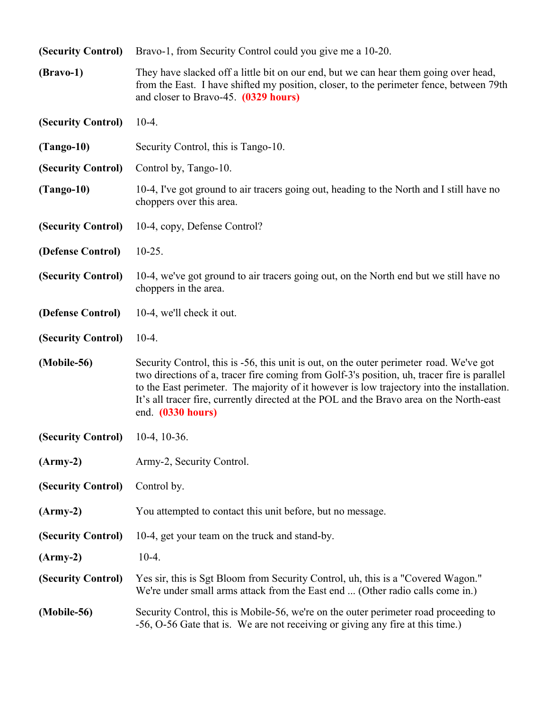| (Security Control) | Bravo-1, from Security Control could you give me a 10-20.                                                                                                                                                                                                                                                                                                                                             |
|--------------------|-------------------------------------------------------------------------------------------------------------------------------------------------------------------------------------------------------------------------------------------------------------------------------------------------------------------------------------------------------------------------------------------------------|
| $(Bravo-1)$        | They have slacked off a little bit on our end, but we can hear them going over head,<br>from the East. I have shifted my position, closer, to the perimeter fence, between 79th<br>and closer to Bravo-45. (0329 hours)                                                                                                                                                                               |
| (Security Control) | $10-4.$                                                                                                                                                                                                                                                                                                                                                                                               |
| $(Tango-10)$       | Security Control, this is Tango-10.                                                                                                                                                                                                                                                                                                                                                                   |
| (Security Control) | Control by, Tango-10.                                                                                                                                                                                                                                                                                                                                                                                 |
| $(Tango-10)$       | 10-4, I've got ground to air tracers going out, heading to the North and I still have no<br>choppers over this area.                                                                                                                                                                                                                                                                                  |
| (Security Control) | 10-4, copy, Defense Control?                                                                                                                                                                                                                                                                                                                                                                          |
| (Defense Control)  | $10-25.$                                                                                                                                                                                                                                                                                                                                                                                              |
| (Security Control) | 10-4, we've got ground to air tracers going out, on the North end but we still have no<br>choppers in the area.                                                                                                                                                                                                                                                                                       |
| (Defense Control)  | 10-4, we'll check it out.                                                                                                                                                                                                                                                                                                                                                                             |
| (Security Control) | $10-4.$                                                                                                                                                                                                                                                                                                                                                                                               |
| (Mobile-56)        | Security Control, this is -56, this unit is out, on the outer perimeter road. We've got<br>two directions of a, tracer fire coming from Golf-3's position, uh, tracer fire is parallel<br>to the East perimeter. The majority of it however is low trajectory into the installation.<br>It's all tracer fire, currently directed at the POL and the Bravo area on the North-east<br>end. (0330 hours) |
| (Security Control) | $10-4$ , $10-36$ .                                                                                                                                                                                                                                                                                                                                                                                    |
| $(Arm-y-2)$        | Army-2, Security Control.                                                                                                                                                                                                                                                                                                                                                                             |
| (Security Control) | Control by.                                                                                                                                                                                                                                                                                                                                                                                           |
| $(Arm-y-2)$        | You attempted to contact this unit before, but no message.                                                                                                                                                                                                                                                                                                                                            |
| (Security Control) | 10-4, get your team on the truck and stand-by.                                                                                                                                                                                                                                                                                                                                                        |
| $(Arm-y-2)$        | $10-4.$                                                                                                                                                                                                                                                                                                                                                                                               |
| (Security Control) | Yes sir, this is Sgt Bloom from Security Control, uh, this is a "Covered Wagon."<br>We're under small arms attack from the East end  (Other radio calls come in.)                                                                                                                                                                                                                                     |
| (Mobile-56)        | Security Control, this is Mobile-56, we're on the outer perimeter road proceeding to<br>-56, O-56 Gate that is. We are not receiving or giving any fire at this time.)                                                                                                                                                                                                                                |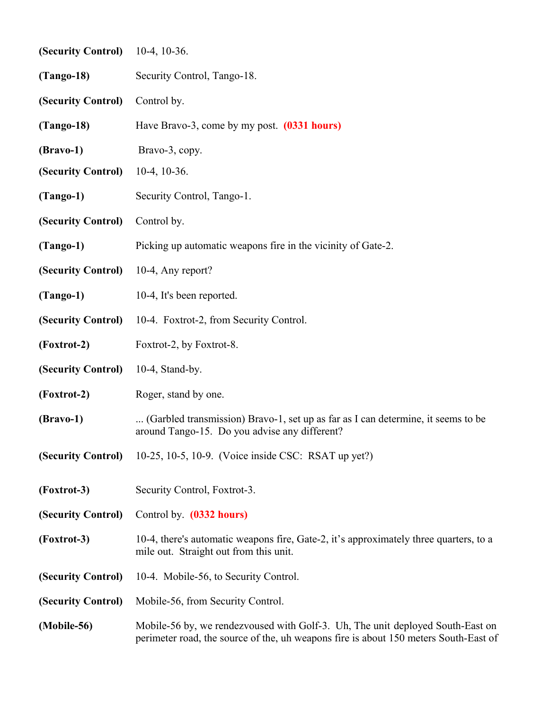| (Security Control)                   | $10-4$ , $10-36$ .                                                                                                                                                     |  |
|--------------------------------------|------------------------------------------------------------------------------------------------------------------------------------------------------------------------|--|
| $(Tango-18)$                         | Security Control, Tango-18.                                                                                                                                            |  |
| (Security Control)                   | Control by.                                                                                                                                                            |  |
| $(Tango-18)$                         | Have Bravo-3, come by my post. (0331 hours)                                                                                                                            |  |
| $(Bravo-1)$                          | Bravo-3, copy.                                                                                                                                                         |  |
| (Security Control)                   | $10-4$ , $10-36$ .                                                                                                                                                     |  |
| $(Tango-1)$                          | Security Control, Tango-1.                                                                                                                                             |  |
| (Security Control)                   | Control by.                                                                                                                                                            |  |
| $(Tango-1)$                          | Picking up automatic weapons fire in the vicinity of Gate-2.                                                                                                           |  |
| (Security Control) 10-4, Any report? |                                                                                                                                                                        |  |
| $(Tango-1)$                          | 10-4, It's been reported.                                                                                                                                              |  |
| (Security Control)                   | 10-4. Foxtrot-2, from Security Control.                                                                                                                                |  |
| (Foxtrot-2)                          | Foxtrot-2, by Foxtrot-8.                                                                                                                                               |  |
| (Security Control)                   | $10-4$ , Stand-by.                                                                                                                                                     |  |
| (Foxtrot-2)                          | Roger, stand by one.                                                                                                                                                   |  |
| $(Bravo-1)$                          | (Garbled transmission) Bravo-1, set up as far as I can determine, it seems to be<br>around Tango-15. Do you advise any different?                                      |  |
| (Security Control)                   | 10-25, 10-5, 10-9. (Voice inside CSC: RSAT up yet?)                                                                                                                    |  |
| (Foxtrot-3)                          | Security Control, Foxtrot-3.                                                                                                                                           |  |
| (Security Control)                   | Control by. (0332 hours)                                                                                                                                               |  |
| (Foxtrot-3)                          | 10-4, there's automatic weapons fire, Gate-2, it's approximately three quarters, to a<br>mile out. Straight out from this unit.                                        |  |
| (Security Control)                   | 10-4. Mobile-56, to Security Control.                                                                                                                                  |  |
| (Security Control)                   | Mobile-56, from Security Control.                                                                                                                                      |  |
| (Mobile-56)                          | Mobile-56 by, we rendezvoused with Golf-3. Uh, The unit deployed South-East on<br>perimeter road, the source of the, uh weapons fire is about 150 meters South-East of |  |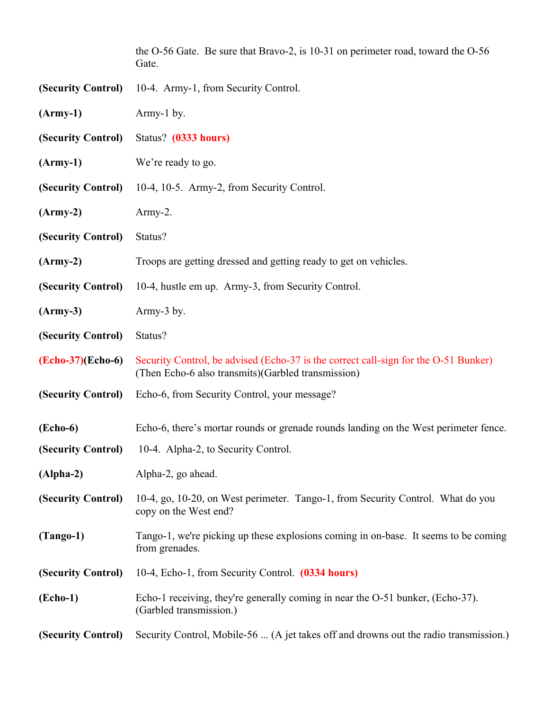|                       | the O-56 Gate. Be sure that Bravo-2, is 10-31 on perimeter road, toward the O-56<br>Gate.                                                  |
|-----------------------|--------------------------------------------------------------------------------------------------------------------------------------------|
| (Security Control)    | 10-4. Army-1, from Security Control.                                                                                                       |
| $(Arm-y-1)$           | Army-1 by.                                                                                                                                 |
| (Security Control)    | Status? (0333 hours)                                                                                                                       |
| $(Arm-y-1)$           | We're ready to go.                                                                                                                         |
| (Security Control)    | 10-4, 10-5. Army-2, from Security Control.                                                                                                 |
| $(Arm-y-2)$           | $Army-2.$                                                                                                                                  |
| (Security Control)    | Status?                                                                                                                                    |
| $(Arm-y-2)$           | Troops are getting dressed and getting ready to get on vehicles.                                                                           |
| (Security Control)    | 10-4, hustle em up. Army-3, from Security Control.                                                                                         |
| $(Army-3)$            | Army-3 by.                                                                                                                                 |
| (Security Control)    | Status?                                                                                                                                    |
| $(echo-37)(Echo-6)$   | Security Control, be advised (Echo-37 is the correct call-sign for the O-51 Bunker)<br>(Then Echo-6 also transmits) (Garbled transmission) |
| (Security Control)    | Echo-6, from Security Control, your message?                                                                                               |
| $( \mathbf{Echo-6} )$ | Echo-6, there's mortar rounds or grenade rounds landing on the West perimeter fence.                                                       |
| (Security Control)    | 10-4. Alpha-2, to Security Control.                                                                                                        |
| $(Alpha-2)$           | Alpha-2, go ahead.                                                                                                                         |
| (Security Control)    | 10-4, go, 10-20, on West perimeter. Tango-1, from Security Control. What do you<br>copy on the West end?                                   |
| $(Tango-1)$           | Tango-1, we're picking up these explosions coming in on-base. It seems to be coming<br>from grenades.                                      |
| (Security Control)    | 10-4, Echo-1, from Security Control. (0334 hours)                                                                                          |
| $( \mathbf{Echo-1} )$ | Echo-1 receiving, they're generally coming in near the O-51 bunker, (Echo-37).<br>(Garbled transmission.)                                  |
| (Security Control)    | Security Control, Mobile-56  (A jet takes off and drowns out the radio transmission.)                                                      |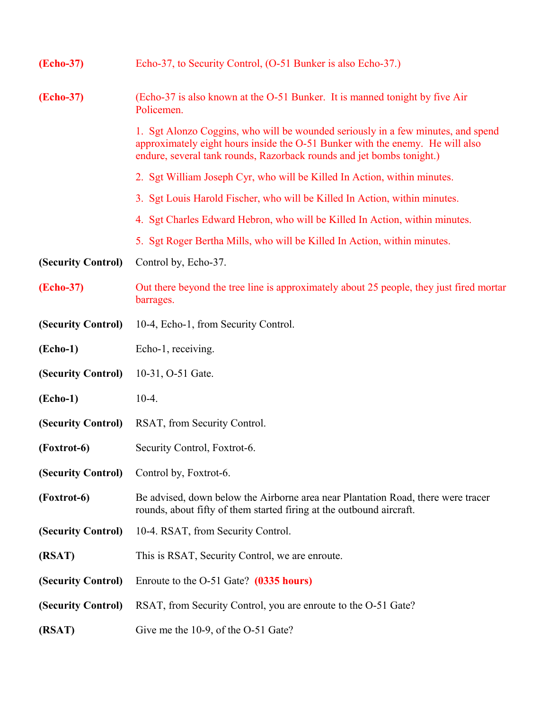| (Echo-37)          | Echo-37, to Security Control, (O-51 Bunker is also Echo-37.)                                                                                                                                                                               |
|--------------------|--------------------------------------------------------------------------------------------------------------------------------------------------------------------------------------------------------------------------------------------|
| (Echo-37)          | (Echo-37 is also known at the O-51 Bunker. It is manned tonight by five Air<br>Policemen.                                                                                                                                                  |
|                    | 1. Sgt Alonzo Coggins, who will be wounded seriously in a few minutes, and spend<br>approximately eight hours inside the O-51 Bunker with the enemy. He will also<br>endure, several tank rounds, Razorback rounds and jet bombs tonight.) |
|                    | 2. Sgt William Joseph Cyr, who will be Killed In Action, within minutes.                                                                                                                                                                   |
|                    | 3. Sgt Louis Harold Fischer, who will be Killed In Action, within minutes.                                                                                                                                                                 |
|                    | 4. Sgt Charles Edward Hebron, who will be Killed In Action, within minutes.                                                                                                                                                                |
|                    | 5. Sgt Roger Bertha Mills, who will be Killed In Action, within minutes.                                                                                                                                                                   |
| (Security Control) | Control by, Echo-37.                                                                                                                                                                                                                       |
| (Echo-37)          | Out there beyond the tree line is approximately about 25 people, they just fired mortar<br>barrages.                                                                                                                                       |
| (Security Control) | 10-4, Echo-1, from Security Control.                                                                                                                                                                                                       |
| $(Echo-1)$         | Echo-1, receiving.                                                                                                                                                                                                                         |
| (Security Control) | 10-31, O-51 Gate.                                                                                                                                                                                                                          |
| $(echo-1)$         | $10-4.$                                                                                                                                                                                                                                    |
| (Security Control) | RSAT, from Security Control.                                                                                                                                                                                                               |
| (Foxtrot-6)        | Security Control, Foxtrot-6.                                                                                                                                                                                                               |
| (Security Control) | Control by, Foxtrot-6.                                                                                                                                                                                                                     |
| (Foxtrot-6)        | Be advised, down below the Airborne area near Plantation Road, there were tracer<br>rounds, about fifty of them started firing at the outbound aircraft.                                                                                   |
| (Security Control) | 10-4. RSAT, from Security Control.                                                                                                                                                                                                         |
| (RSAT)             | This is RSAT, Security Control, we are enroute.                                                                                                                                                                                            |
| (Security Control) | Enroute to the O-51 Gate? (0335 hours)                                                                                                                                                                                                     |
| (Security Control) | RSAT, from Security Control, you are enroute to the O-51 Gate?                                                                                                                                                                             |
| (RSAT)             | Give me the 10-9, of the O-51 Gate?                                                                                                                                                                                                        |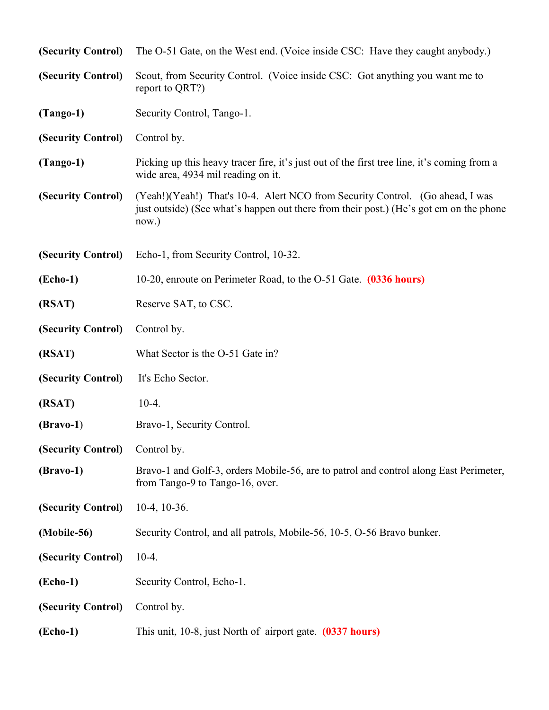| (Security Control)    | The O-51 Gate, on the West end. (Voice inside CSC: Have they caught anybody.)                                                                                                    |
|-----------------------|----------------------------------------------------------------------------------------------------------------------------------------------------------------------------------|
| (Security Control)    | Scout, from Security Control. (Voice inside CSC: Got anything you want me to<br>report to QRT?)                                                                                  |
| $(Tango-1)$           | Security Control, Tango-1.                                                                                                                                                       |
| (Security Control)    | Control by.                                                                                                                                                                      |
| $(Tango-1)$           | Picking up this heavy tracer fire, it's just out of the first tree line, it's coming from a<br>wide area, 4934 mil reading on it.                                                |
| (Security Control)    | (Yeah!)(Yeah!) That's 10-4. Alert NCO from Security Control. (Go ahead, I was<br>just outside) (See what's happen out there from their post.) (He's got em on the phone<br>now.) |
| (Security Control)    | Echo-1, from Security Control, 10-32.                                                                                                                                            |
| $(echo-1)$            | 10-20, enroute on Perimeter Road, to the O-51 Gate. (0336 hours)                                                                                                                 |
| (RSAT)                | Reserve SAT, to CSC.                                                                                                                                                             |
| (Security Control)    | Control by.                                                                                                                                                                      |
| (RSAT)                | What Sector is the O-51 Gate in?                                                                                                                                                 |
| (Security Control)    | It's Echo Sector.                                                                                                                                                                |
| (RSAT)                | $10-4.$                                                                                                                                                                          |
| $(Bravo-1)$           | Bravo-1, Security Control.                                                                                                                                                       |
| (Security Control)    | Control by.                                                                                                                                                                      |
| $(Bravo-1)$           | Bravo-1 and Golf-3, orders Mobile-56, are to patrol and control along East Perimeter,<br>from Tango-9 to Tango-16, over.                                                         |
| (Security Control)    | $10-4$ , $10-36$ .                                                                                                                                                               |
| (Mobile-56)           | Security Control, and all patrols, Mobile-56, 10-5, O-56 Bravo bunker.                                                                                                           |
| (Security Control)    | $10-4.$                                                                                                                                                                          |
| $( \mathbf{Echo-1} )$ | Security Control, Echo-1.                                                                                                                                                        |
| (Security Control)    | Control by.                                                                                                                                                                      |
| $(echo-1)$            | This unit, 10-8, just North of airport gate. (0337 hours)                                                                                                                        |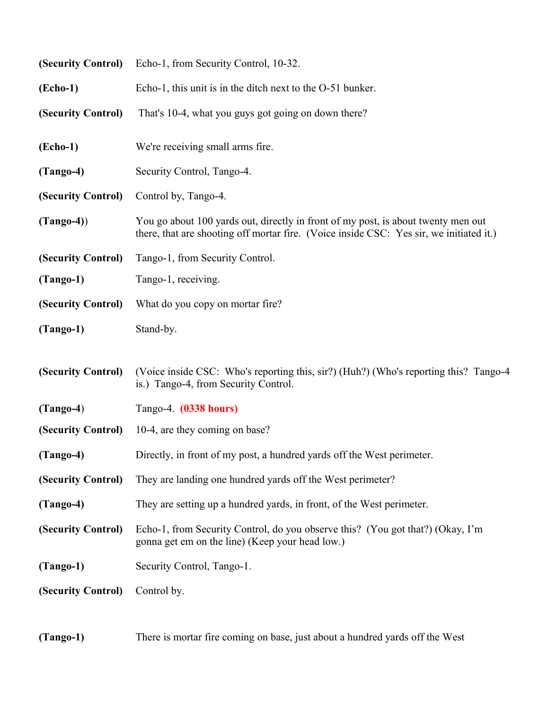|                       | (Security Control) Echo-1, from Security Control, 10-32.                                                                                                                     |
|-----------------------|------------------------------------------------------------------------------------------------------------------------------------------------------------------------------|
| $(echo-1)$            | Echo-1, this unit is in the ditch next to the O-51 bunker.                                                                                                                   |
| (Security Control)    | That's 10-4, what you guys got going on down there?                                                                                                                          |
| $( \mathbf{Echo-1} )$ | We're receiving small arms fire.                                                                                                                                             |
| $(Tango-4)$           | Security Control, Tango-4.                                                                                                                                                   |
| (Security Control)    | Control by, Tango-4.                                                                                                                                                         |
| $(Tango-4))$          | You go about 100 yards out, directly in front of my post, is about twenty men out<br>there, that are shooting off mortar fire. (Voice inside CSC: Yes sir, we initiated it.) |
| (Security Control)    | Tango-1, from Security Control.                                                                                                                                              |
| $(Tango-1)$           | Tango-1, receiving.                                                                                                                                                          |
| (Security Control)    | What do you copy on mortar fire?                                                                                                                                             |
| $(Tango-1)$           | Stand-by.                                                                                                                                                                    |
| (Security Control)    | (Voice inside CSC: Who's reporting this, sir?) (Huh?) (Who's reporting this? Tango-4<br>is.) Tango-4, from Security Control.                                                 |
| $(Tango-4)$           | Tango-4. (0338 hours)                                                                                                                                                        |
| (Security Control)    | 10-4, are they coming on base?                                                                                                                                               |
| $(Tango-4)$           | Directly, in front of my post, a hundred yards off the West perimeter.                                                                                                       |
| (Security Control)    | They are landing one hundred yards off the West perimeter?                                                                                                                   |
| $(Tango-4)$           | They are setting up a hundred yards, in front, of the West perimeter.                                                                                                        |
| (Security Control)    | Echo-1, from Security Control, do you observe this? (You got that?) (Okay, I'm<br>gonna get em on the line) (Keep your head low.)                                            |
| $(Tango-1)$           | Security Control, Tango-1.                                                                                                                                                   |
| (Security Control)    | Control by.                                                                                                                                                                  |

**(Tango-1)** There is mortar fire coming on base, just about a hundred yards off the West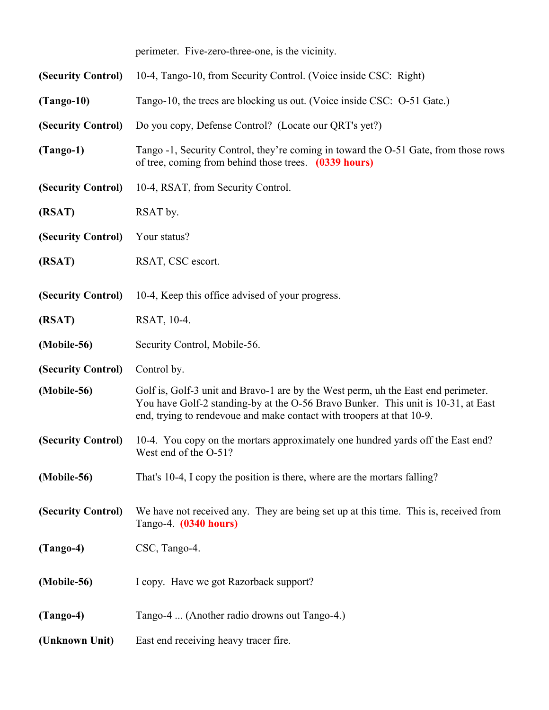perimeter. Five-zero-three-one, is the vicinity.

| (Security Control) | 10-4, Tango-10, from Security Control. (Voice inside CSC: Right)                                                                                                                                                                                |
|--------------------|-------------------------------------------------------------------------------------------------------------------------------------------------------------------------------------------------------------------------------------------------|
| $(Tango-10)$       | Tango-10, the trees are blocking us out. (Voice inside CSC: O-51 Gate.)                                                                                                                                                                         |
| (Security Control) | Do you copy, Defense Control? (Locate our QRT's yet?)                                                                                                                                                                                           |
| $(Tango-1)$        | Tango -1, Security Control, they're coming in toward the O-51 Gate, from those rows<br>of tree, coming from behind those trees. (0339 hours)                                                                                                    |
| (Security Control) | 10-4, RSAT, from Security Control.                                                                                                                                                                                                              |
| (RSAT)             | RSAT by.                                                                                                                                                                                                                                        |
| (Security Control) | Your status?                                                                                                                                                                                                                                    |
| (RSAT)             | RSAT, CSC escort.                                                                                                                                                                                                                               |
| (Security Control) | 10-4, Keep this office advised of your progress.                                                                                                                                                                                                |
| (RSAT)             | RSAT, 10-4.                                                                                                                                                                                                                                     |
| (Mobile-56)        | Security Control, Mobile-56.                                                                                                                                                                                                                    |
| (Security Control) | Control by.                                                                                                                                                                                                                                     |
| (Mobile-56)        | Golf is, Golf-3 unit and Bravo-1 are by the West perm, uh the East end perimeter.<br>You have Golf-2 standing-by at the O-56 Bravo Bunker. This unit is 10-31, at East<br>end, trying to rendevoue and make contact with troopers at that 10-9. |
| (Security Control) | 10-4. You copy on the mortars approximately one hundred yards off the East end?<br>West end of the O-51?                                                                                                                                        |
| (Mobile-56)        | That's 10-4, I copy the position is there, where are the mortars falling?                                                                                                                                                                       |
| (Security Control) | We have not received any. They are being set up at this time. This is, received from<br>Tango-4. (0340 hours)                                                                                                                                   |
| $(Tango-4)$        | CSC, Tango-4.                                                                                                                                                                                                                                   |
| (Mobile-56)        | I copy. Have we got Razorback support?                                                                                                                                                                                                          |
| $(Tango-4)$        | Tango-4  (Another radio drowns out Tango-4.)                                                                                                                                                                                                    |
| (Unknown Unit)     | East end receiving heavy tracer fire.                                                                                                                                                                                                           |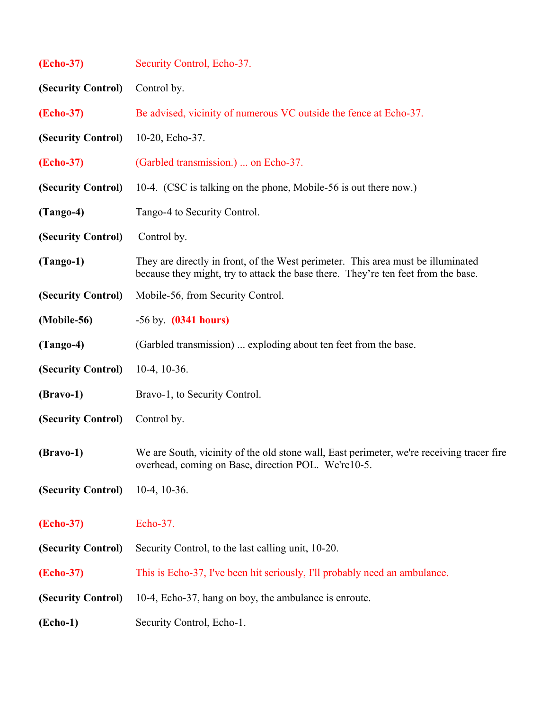| <b>(Echo-37)</b>      | Security Control, Echo-37.                                                                                                                                            |
|-----------------------|-----------------------------------------------------------------------------------------------------------------------------------------------------------------------|
| (Security Control)    | Control by.                                                                                                                                                           |
| (Echo-37)             | Be advised, vicinity of numerous VC outside the fence at Echo-37.                                                                                                     |
| (Security Control)    | 10-20, Echo-37.                                                                                                                                                       |
| (Echo-37)             | (Garbled transmission.)  on Echo-37.                                                                                                                                  |
| (Security Control)    | 10-4. (CSC is talking on the phone, Mobile-56 is out there now.)                                                                                                      |
| $(Tango-4)$           | Tango-4 to Security Control.                                                                                                                                          |
| (Security Control)    | Control by.                                                                                                                                                           |
| $(Tango-1)$           | They are directly in front, of the West perimeter. This area must be illuminated<br>because they might, try to attack the base there. They're ten feet from the base. |
| (Security Control)    | Mobile-56, from Security Control.                                                                                                                                     |
| (Mobile-56)           | $-56$ by. $(0341$ hours)                                                                                                                                              |
| $(Tango-4)$           | (Garbled transmission)  exploding about ten feet from the base.                                                                                                       |
| (Security Control)    | $10-4$ , $10-36$ .                                                                                                                                                    |
| $(Bravo-1)$           | Bravo-1, to Security Control.                                                                                                                                         |
| (Security Control)    | Control by.                                                                                                                                                           |
| $(Bravo-1)$           | We are South, vicinity of the old stone wall, East perimeter, we're receiving tracer fire<br>overhead, coming on Base, direction POL. We're10-5.                      |
| (Security Control)    | $10-4$ , $10-36$ .                                                                                                                                                    |
| (Echo-37)             | Echo-37.                                                                                                                                                              |
| (Security Control)    | Security Control, to the last calling unit, 10-20.                                                                                                                    |
| (Echo-37)             | This is Echo-37, I've been hit seriously, I'll probably need an ambulance.                                                                                            |
| (Security Control)    | 10-4, Echo-37, hang on boy, the ambulance is enroute.                                                                                                                 |
| $( \mathbf{Echo-1} )$ | Security Control, Echo-1.                                                                                                                                             |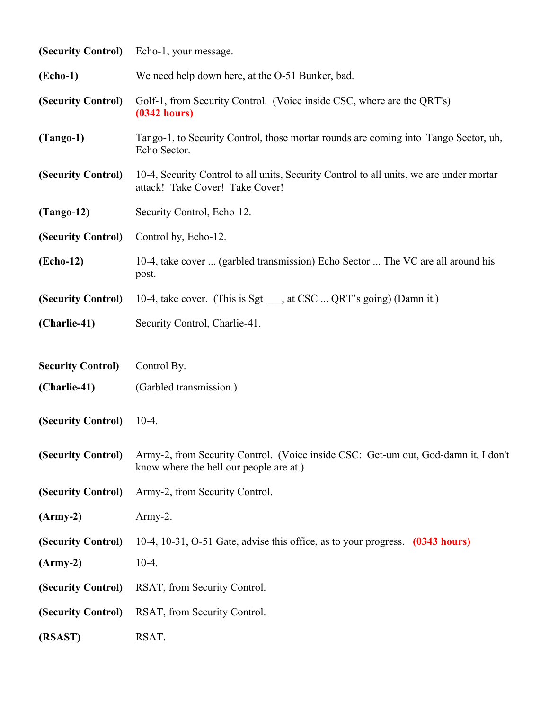| (Security Control)       | Echo-1, your message.                                                                                                         |
|--------------------------|-------------------------------------------------------------------------------------------------------------------------------|
| (Echo-1)                 | We need help down here, at the O-51 Bunker, bad.                                                                              |
| (Security Control)       | Golf-1, from Security Control. (Voice inside CSC, where are the QRT's)<br>(0342 hours)                                        |
| $(Tango-1)$              | Tango-1, to Security Control, those mortar rounds are coming into Tango Sector, uh,<br>Echo Sector.                           |
| (Security Control)       | 10-4, Security Control to all units, Security Control to all units, we are under mortar<br>attack! Take Cover! Take Cover!    |
| $(Tango-12)$             | Security Control, Echo-12.                                                                                                    |
| (Security Control)       | Control by, Echo-12.                                                                                                          |
| (Echo-12)                | 10-4, take cover  (garbled transmission) Echo Sector  The VC are all around his<br>post.                                      |
| (Security Control)       | 10-4, take cover. (This is Sgt ___, at CSC  QRT's going) (Damn it.)                                                           |
| (Charlie-41)             | Security Control, Charlie-41.                                                                                                 |
| <b>Security Control)</b> | Control By.                                                                                                                   |
| (Charlie-41)             | (Garbled transmission.)                                                                                                       |
| (Security Control)       | $10-4.$                                                                                                                       |
| (Security Control)       | Army-2, from Security Control. (Voice inside CSC: Get-um out, God-damn it, I don't<br>know where the hell our people are at.) |
| (Security Control)       | Army-2, from Security Control.                                                                                                |
| $(Arm-y-2)$              | $Army-2.$                                                                                                                     |
| (Security Control)       | 10-4, 10-31, O-51 Gate, advise this office, as to your progress. (0343 hours)                                                 |
| $(Arm-y-2)$              | $10-4.$                                                                                                                       |
| (Security Control)       | RSAT, from Security Control.                                                                                                  |
| (Security Control)       | RSAT, from Security Control.                                                                                                  |
| (RSAST)                  | RSAT.                                                                                                                         |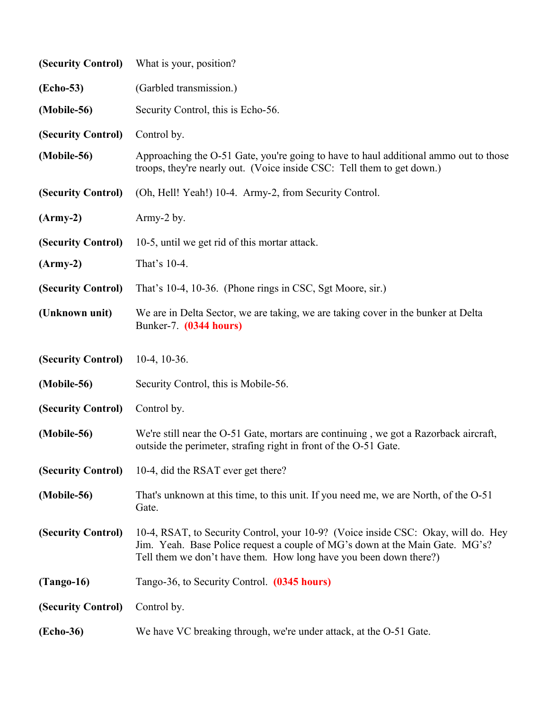| (Security Control) | What is your, position?                                                                                                                                                                                                                |
|--------------------|----------------------------------------------------------------------------------------------------------------------------------------------------------------------------------------------------------------------------------------|
| (Echo-53)          | (Garbled transmission.)                                                                                                                                                                                                                |
| (Mobile-56)        | Security Control, this is Echo-56.                                                                                                                                                                                                     |
| (Security Control) | Control by.                                                                                                                                                                                                                            |
| (Mobile-56)        | Approaching the O-51 Gate, you're going to have to haul additional ammo out to those<br>troops, they're nearly out. (Voice inside CSC: Tell them to get down.)                                                                         |
| (Security Control) | (Oh, Hell! Yeah!) 10-4. Army-2, from Security Control.                                                                                                                                                                                 |
| $(Arm-y-2)$        | Army-2 by.                                                                                                                                                                                                                             |
| (Security Control) | 10-5, until we get rid of this mortar attack.                                                                                                                                                                                          |
| $(Arm-y-2)$        | That's 10-4.                                                                                                                                                                                                                           |
| (Security Control) | That's 10-4, 10-36. (Phone rings in CSC, Sgt Moore, sir.)                                                                                                                                                                              |
| (Unknown unit)     | We are in Delta Sector, we are taking, we are taking cover in the bunker at Delta<br>Bunker-7. (0344 hours)                                                                                                                            |
| (Security Control) | $10-4$ , $10-36$ .                                                                                                                                                                                                                     |
| (Mobile-56)        | Security Control, this is Mobile-56.                                                                                                                                                                                                   |
| (Security Control) | Control by.                                                                                                                                                                                                                            |
| (Mobile-56)        | We're still near the O-51 Gate, mortars are continuing, we got a Razorback aircraft,<br>outside the perimeter, strafing right in front of the O-51 Gate.                                                                               |
| (Security Control) | 10-4, did the RSAT ever get there?                                                                                                                                                                                                     |
| (Mobile-56)        | That's unknown at this time, to this unit. If you need me, we are North, of the O-51<br>Gate.                                                                                                                                          |
| (Security Control) | 10-4, RSAT, to Security Control, your 10-9? (Voice inside CSC: Okay, will do. Hey<br>Jim. Yeah. Base Police request a couple of MG's down at the Main Gate. MG's?<br>Tell them we don't have them. How long have you been down there?) |
| $(Tango-16)$       | Tango-36, to Security Control. (0345 hours)                                                                                                                                                                                            |
| (Security Control) | Control by.                                                                                                                                                                                                                            |
| (Echo-36)          | We have VC breaking through, we're under attack, at the O-51 Gate.                                                                                                                                                                     |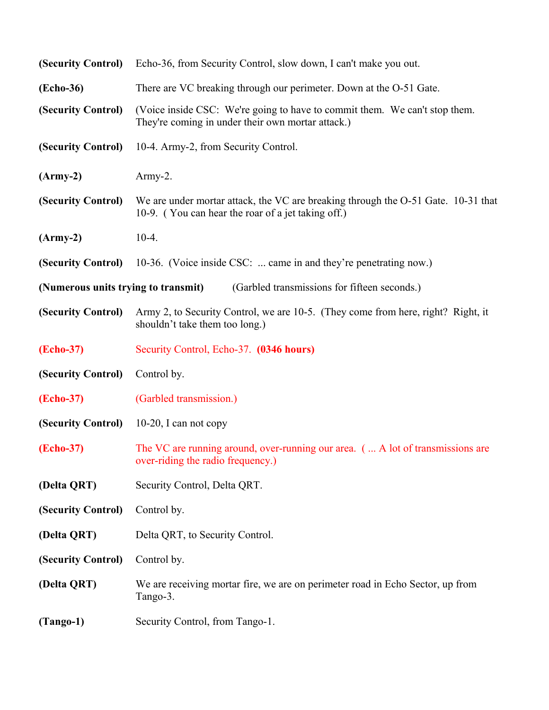| (Security Control)                  | Echo-36, from Security Control, slow down, I can't make you out.                                                                        |
|-------------------------------------|-----------------------------------------------------------------------------------------------------------------------------------------|
| (Echo-36)                           | There are VC breaking through our perimeter. Down at the O-51 Gate.                                                                     |
| (Security Control)                  | (Voice inside CSC: We're going to have to commit them. We can't stop them.<br>They're coming in under their own mortar attack.)         |
| (Security Control)                  | 10-4. Army-2, from Security Control.                                                                                                    |
| $(Arm-y-2)$                         | Army-2.                                                                                                                                 |
| (Security Control)                  | We are under mortar attack, the VC are breaking through the O-51 Gate. 10-31 that<br>10-9. (You can hear the roar of a jet taking off.) |
| $(Arm-y-2)$                         | $10-4.$                                                                                                                                 |
| (Security Control)                  | 10-36. (Voice inside CSC:  came in and they're penetrating now.)                                                                        |
| (Numerous units trying to transmit) | (Garbled transmissions for fifteen seconds.)                                                                                            |
| (Security Control)                  | Army 2, to Security Control, we are 10-5. (They come from here, right? Right, it<br>shouldn't take them too long.)                      |
| <b>(Echo-37)</b>                    | Security Control, Echo-37. (0346 hours)                                                                                                 |
| (Security Control)                  | Control by.                                                                                                                             |
| <b>(Echo-37)</b>                    | (Garbled transmission.)                                                                                                                 |
| (Security Control)                  | 10-20, I can not copy                                                                                                                   |
| (Echo-37)                           | The VC are running around, over-running our area. (  A lot of transmissions are<br>over-riding the radio frequency.)                    |
| (Delta QRT)                         | Security Control, Delta QRT.                                                                                                            |
| (Security Control)                  | Control by.                                                                                                                             |
| (Delta QRT)                         | Delta QRT, to Security Control.                                                                                                         |
| (Security Control)                  | Control by.                                                                                                                             |
| (Delta QRT)                         | We are receiving mortar fire, we are on perimeter road in Echo Sector, up from<br>Tango-3.                                              |
| $(Tango-1)$                         | Security Control, from Tango-1.                                                                                                         |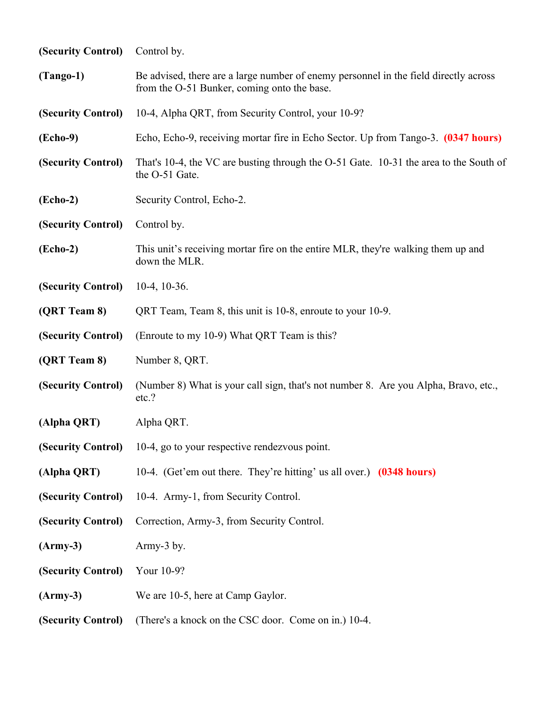| (Security Control) | Control by.                                                                                                                         |
|--------------------|-------------------------------------------------------------------------------------------------------------------------------------|
| $(Tango-1)$        | Be advised, there are a large number of enemy personnel in the field directly across<br>from the O-51 Bunker, coming onto the base. |
| (Security Control) | 10-4, Alpha QRT, from Security Control, your 10-9?                                                                                  |
| (Echo-9)           | Echo, Echo-9, receiving mortar fire in Echo Sector. Up from Tango-3. (0347 hours)                                                   |
| (Security Control) | That's 10-4, the VC are busting through the O-51 Gate. 10-31 the area to the South of<br>the O-51 Gate.                             |
| (Echo-2)           | Security Control, Echo-2.                                                                                                           |
| (Security Control) | Control by.                                                                                                                         |
| $( \text{Echo-2})$ | This unit's receiving mortar fire on the entire MLR, they're walking them up and<br>down the MLR.                                   |
| (Security Control) | $10-4$ , $10-36$ .                                                                                                                  |
| (QRT Team 8)       | QRT Team, Team 8, this unit is 10-8, enroute to your 10-9.                                                                          |
| (Security Control) | (Enroute to my 10-9) What QRT Team is this?                                                                                         |
| (QRT Team 8)       | Number 8, QRT.                                                                                                                      |
| (Security Control) | (Number 8) What is your call sign, that's not number 8. Are you Alpha, Bravo, etc.,<br>etc.?                                        |
| (Alpha QRT)        | Alpha QRT.                                                                                                                          |
|                    | (Security Control) 10-4, go to your respective rendezvous point.                                                                    |
| (Alpha QRT)        | 10-4. (Get'em out there. They're hitting' us all over.) (0348 hours)                                                                |
| (Security Control) | 10-4. Army-1, from Security Control.                                                                                                |
| (Security Control) | Correction, Army-3, from Security Control.                                                                                          |
| $(Army-3)$         | Army-3 by.                                                                                                                          |
| (Security Control) | Your 10-9?                                                                                                                          |
| $(Army-3)$         | We are 10-5, here at Camp Gaylor.                                                                                                   |
| (Security Control) | (There's a knock on the CSC door. Come on in.) 10-4.                                                                                |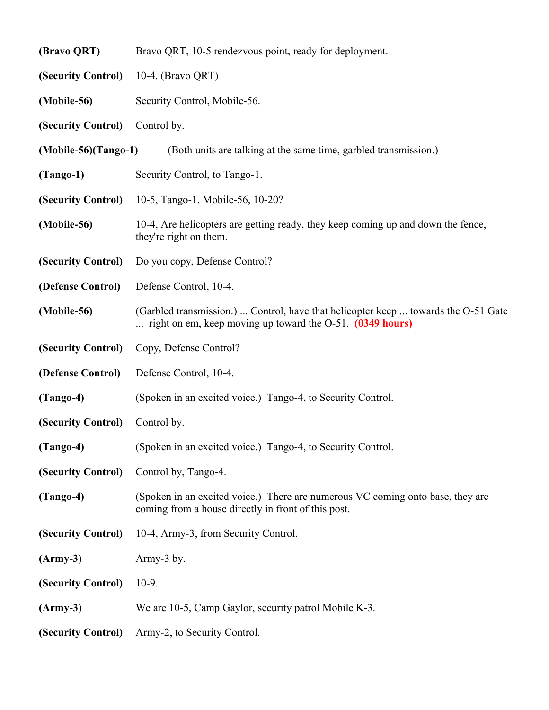| (Bravo QRT)            | Bravo QRT, 10-5 rendezvous point, ready for deployment.                                                                                            |
|------------------------|----------------------------------------------------------------------------------------------------------------------------------------------------|
| (Security Control)     | 10-4. (Bravo QRT)                                                                                                                                  |
| (Mobile-56)            | Security Control, Mobile-56.                                                                                                                       |
| (Security Control)     | Control by.                                                                                                                                        |
| $(Mobile-56)(Tango-1)$ | (Both units are talking at the same time, garbled transmission.)                                                                                   |
| $(Tango-1)$            | Security Control, to Tango-1.                                                                                                                      |
| (Security Control)     | 10-5, Tango-1. Mobile-56, 10-20?                                                                                                                   |
| (Mobile-56)            | 10-4, Are helicopters are getting ready, they keep coming up and down the fence,<br>they're right on them.                                         |
| (Security Control)     | Do you copy, Defense Control?                                                                                                                      |
| (Defense Control)      | Defense Control, 10-4.                                                                                                                             |
| (Mobile-56)            | (Garbled transmission.)  Control, have that helicopter keep  towards the O-51 Gate<br>right on em, keep moving up toward the $O-51$ . (0349 hours) |
| (Security Control)     | Copy, Defense Control?                                                                                                                             |
| (Defense Control)      | Defense Control, 10-4.                                                                                                                             |
| $(Tango-4)$            | (Spoken in an excited voice.) Tango-4, to Security Control.                                                                                        |
| (Security Control)     | Control by.                                                                                                                                        |
| $(Tango-4)$            | (Spoken in an excited voice.) Tango-4, to Security Control.                                                                                        |
| (Security Control)     | Control by, Tango-4.                                                                                                                               |
| $(Tango-4)$            | (Spoken in an excited voice.) There are numerous VC coming onto base, they are<br>coming from a house directly in front of this post.              |
| (Security Control)     | 10-4, Army-3, from Security Control.                                                                                                               |
| $(Army-3)$             | Army-3 by.                                                                                                                                         |
| (Security Control)     | $10-9.$                                                                                                                                            |
| $(Army-3)$             | We are 10-5, Camp Gaylor, security patrol Mobile K-3.                                                                                              |
| (Security Control)     | Army-2, to Security Control.                                                                                                                       |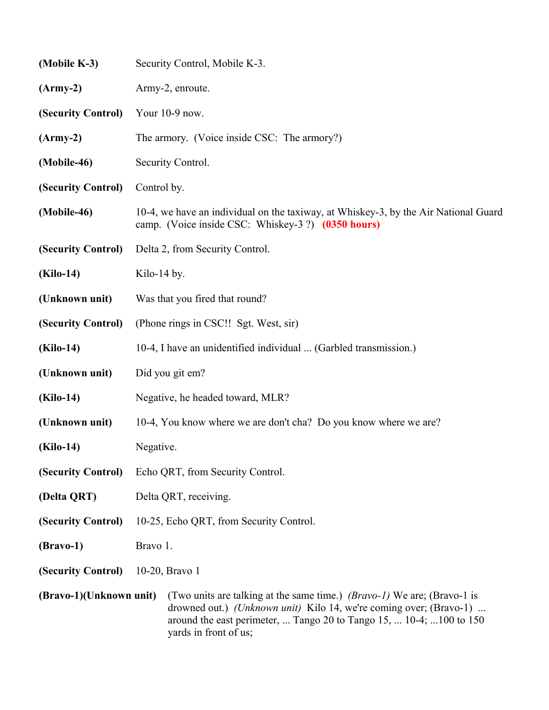| (Mobile K-3)            | Security Control, Mobile K-3.                                                                                                                                                                                                                         |
|-------------------------|-------------------------------------------------------------------------------------------------------------------------------------------------------------------------------------------------------------------------------------------------------|
| $(Army-2)$              | Army-2, enroute.                                                                                                                                                                                                                                      |
| (Security Control)      | Your 10-9 now.                                                                                                                                                                                                                                        |
| $(Army-2)$              | The armory. (Voice inside CSC: The armory?)                                                                                                                                                                                                           |
| (Mobile-46)             | Security Control.                                                                                                                                                                                                                                     |
| (Security Control)      | Control by.                                                                                                                                                                                                                                           |
| (Mobile-46)             | 10-4, we have an individual on the taxiway, at Whiskey-3, by the Air National Guard<br>camp. (Voice inside CSC: Whiskey-3?) (0350 hours)                                                                                                              |
| (Security Control)      | Delta 2, from Security Control.                                                                                                                                                                                                                       |
| (Kilo-14)               | Kilo-14 by.                                                                                                                                                                                                                                           |
| (Unknown unit)          | Was that you fired that round?                                                                                                                                                                                                                        |
| (Security Control)      | (Phone rings in CSC!! Sgt. West, sir)                                                                                                                                                                                                                 |
| (Kilo-14)               | 10-4, I have an unidentified individual  (Garbled transmission.)                                                                                                                                                                                      |
| (Unknown unit)          | Did you git em?                                                                                                                                                                                                                                       |
| (Kilo-14)               | Negative, he headed toward, MLR?                                                                                                                                                                                                                      |
| (Unknown unit)          | 10-4, You know where we are don't cha? Do you know where we are?                                                                                                                                                                                      |
| $(Kilo-14)$             | Negative.                                                                                                                                                                                                                                             |
| (Security Control)      | Echo QRT, from Security Control.                                                                                                                                                                                                                      |
| (Delta QRT)             | Delta QRT, receiving.                                                                                                                                                                                                                                 |
| (Security Control)      | 10-25, Echo QRT, from Security Control.                                                                                                                                                                                                               |
| $(Bravo-1)$             | Bravo 1.                                                                                                                                                                                                                                              |
| (Security Control)      | 10-20, Bravo 1                                                                                                                                                                                                                                        |
| (Bravo-1)(Unknown unit) | (Two units are talking at the same time.) <i>(Bravo-1)</i> We are; (Bravo-1 is<br>drowned out.) (Unknown unit) Kilo 14, we're coming over; (Bravo-1)<br>around the east perimeter,  Tango 20 to Tango 15,  10-4;  100 to 150<br>yards in front of us; |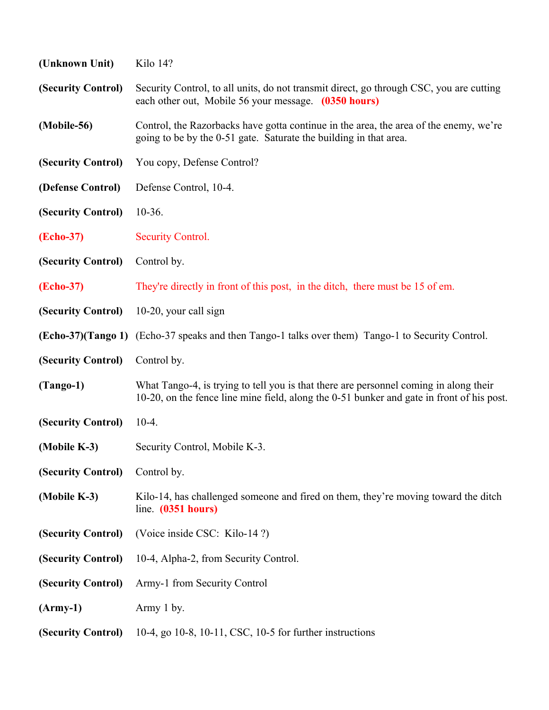| (Unknown Unit)     | Kilo 14?                                                                                                                                                                           |
|--------------------|------------------------------------------------------------------------------------------------------------------------------------------------------------------------------------|
| (Security Control) | Security Control, to all units, do not transmit direct, go through CSC, you are cutting<br>each other out, Mobile 56 your message. (0350 hours)                                    |
| (Mobile-56)        | Control, the Razorbacks have gotta continue in the area, the area of the enemy, we're<br>going to be by the 0-51 gate. Saturate the building in that area.                         |
| (Security Control) | You copy, Defense Control?                                                                                                                                                         |
| (Defense Control)  | Defense Control, 10-4.                                                                                                                                                             |
| (Security Control) | $10-36.$                                                                                                                                                                           |
| <b>(Echo-37)</b>   | <b>Security Control.</b>                                                                                                                                                           |
| (Security Control) | Control by.                                                                                                                                                                        |
| <b>(Echo-37)</b>   | They're directly in front of this post, in the ditch, there must be 15 of em.                                                                                                      |
| (Security Control) | 10-20, your call sign                                                                                                                                                              |
|                    | <b>(Echo-37)</b> (Tango 1) (Echo-37 speaks and then Tango-1 talks over them) Tango-1 to Security Control.                                                                          |
| (Security Control) | Control by.                                                                                                                                                                        |
| $(Tango-1)$        | What Tango-4, is trying to tell you is that there are personnel coming in along their<br>10-20, on the fence line mine field, along the 0-51 bunker and gate in front of his post. |
| (Security Control) | $10-4.$                                                                                                                                                                            |
| (Mobile K-3)       | Security Control, Mobile K-3.                                                                                                                                                      |
| (Security Control) | Control by.                                                                                                                                                                        |
| (Mobile K-3)       | Kilo-14, has challenged someone and fired on them, they're moving toward the ditch<br>line. $(0351$ hours)                                                                         |
| (Security Control) | (Voice inside CSC: Kilo-14?)                                                                                                                                                       |
| (Security Control) | 10-4, Alpha-2, from Security Control.                                                                                                                                              |
| (Security Control) | Army-1 from Security Control                                                                                                                                                       |
| $(Arm-y-1)$        | Army 1 by.                                                                                                                                                                         |
| (Security Control) | 10-4, go 10-8, 10-11, CSC, 10-5 for further instructions                                                                                                                           |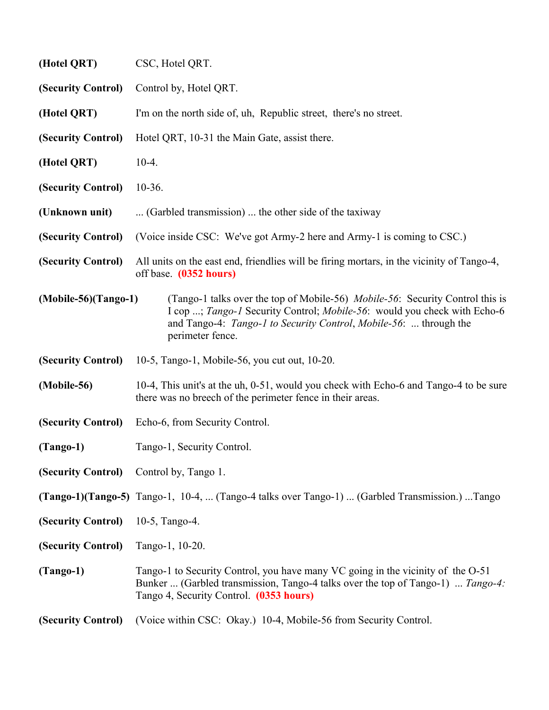| (Hotel QRT)                             | CSC, Hotel QRT.                                                                                                                                                                                                                                                    |
|-----------------------------------------|--------------------------------------------------------------------------------------------------------------------------------------------------------------------------------------------------------------------------------------------------------------------|
| (Security Control)                      | Control by, Hotel QRT.                                                                                                                                                                                                                                             |
| (Hotel QRT)                             | I'm on the north side of, uh, Republic street, there's no street.                                                                                                                                                                                                  |
| (Security Control)                      | Hotel QRT, 10-31 the Main Gate, assist there.                                                                                                                                                                                                                      |
| (Hotel QRT)                             | $10-4.$                                                                                                                                                                                                                                                            |
| (Security Control)                      | $10-36.$                                                                                                                                                                                                                                                           |
| (Unknown unit)                          | (Garbled transmission)  the other side of the taxiway                                                                                                                                                                                                              |
| (Security Control)                      | (Voice inside CSC: We've got Army-2 here and Army-1 is coming to CSC.)                                                                                                                                                                                             |
| (Security Control)                      | All units on the east end, friendlies will be firing mortars, in the vicinity of Tango-4,<br>off base. (0352 hours)                                                                                                                                                |
| $(Mobile-56)(Tango-1)$                  | (Tango-1 talks over the top of Mobile-56) <i>Mobile-56</i> : Security Control this is<br>I cop ; Tango-1 Security Control; Mobile-56: would you check with Echo-6<br>and Tango-4: <i>Tango-1 to Security Control, Mobile-56</i> :  through the<br>perimeter fence. |
| (Security Control)                      | 10-5, Tango-1, Mobile-56, you cut out, 10-20.                                                                                                                                                                                                                      |
| (Mobile-56)                             | 10-4, This unit's at the uh, 0-51, would you check with Echo-6 and Tango-4 to be sure<br>there was no breech of the perimeter fence in their areas.                                                                                                                |
| (Security Control)                      | Echo-6, from Security Control.                                                                                                                                                                                                                                     |
| $(Tango-1)$                             | Tango-1, Security Control.                                                                                                                                                                                                                                         |
| (Security Control) Control by, Tango 1. |                                                                                                                                                                                                                                                                    |
|                                         | (Tango-1)(Tango-5) Tango-1, 10-4,  (Tango-4 talks over Tango-1)  (Garbled Transmission.) Tango                                                                                                                                                                     |
| (Security Control)                      | 10-5, Tango-4.                                                                                                                                                                                                                                                     |
| (Security Control)                      | Tango-1, 10-20.                                                                                                                                                                                                                                                    |
| $(Tango-1)$                             | Tango-1 to Security Control, you have many VC going in the vicinity of the O-51<br>Bunker  (Garbled transmission, Tango-4 talks over the top of Tango-1)  Tango-4:<br>Tango 4, Security Control. (0353 hours)                                                      |
| (Security Control)                      | (Voice within CSC: Okay.) 10-4, Mobile-56 from Security Control.                                                                                                                                                                                                   |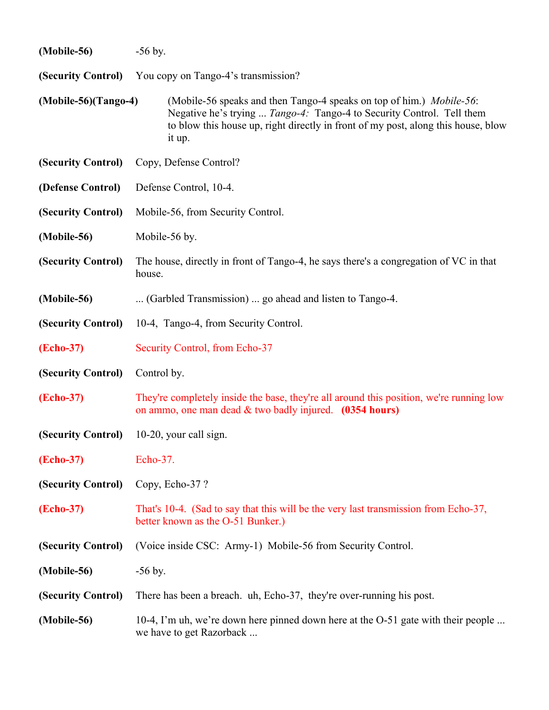| (Mobile-56)            | $-56$ by.                                                                                                                                                                                                                                    |
|------------------------|----------------------------------------------------------------------------------------------------------------------------------------------------------------------------------------------------------------------------------------------|
|                        | (Security Control) You copy on Tango-4's transmission?                                                                                                                                                                                       |
| $(Mobile-56)(Tango-4)$ | (Mobile-56 speaks and then Tango-4 speaks on top of him.) Mobile-56:<br>Negative he's trying  Tango-4: Tango-4 to Security Control. Tell them<br>to blow this house up, right directly in front of my post, along this house, blow<br>it up. |
| (Security Control)     | Copy, Defense Control?                                                                                                                                                                                                                       |
| (Defense Control)      | Defense Control, 10-4.                                                                                                                                                                                                                       |
| (Security Control)     | Mobile-56, from Security Control.                                                                                                                                                                                                            |
| (Mobile-56)            | Mobile-56 by.                                                                                                                                                                                                                                |
| (Security Control)     | The house, directly in front of Tango-4, he says there's a congregation of VC in that<br>house.                                                                                                                                              |
| (Mobile-56)            | (Garbled Transmission)  go ahead and listen to Tango-4.                                                                                                                                                                                      |
| (Security Control)     | 10-4, Tango-4, from Security Control.                                                                                                                                                                                                        |
| <b>(Echo-37)</b>       | Security Control, from Echo-37                                                                                                                                                                                                               |
| (Security Control)     | Control by.                                                                                                                                                                                                                                  |
| (Echo-37)              | They're completely inside the base, they're all around this position, we're running low<br>on ammo, one man dead & two badly injured. (0354 hours)                                                                                           |
| (Security Control)     | $10-20$ , your call sign.                                                                                                                                                                                                                    |
| <b>(Echo-37)</b>       | Echo-37.                                                                                                                                                                                                                                     |
| (Security Control)     | Copy, Echo-37?                                                                                                                                                                                                                               |
| (Echo-37)              | That's 10-4. (Sad to say that this will be the very last transmission from Echo-37,<br>better known as the O-51 Bunker.)                                                                                                                     |
| (Security Control)     | (Voice inside CSC: Army-1) Mobile-56 from Security Control.                                                                                                                                                                                  |
| (Mobile-56)            | $-56$ by.                                                                                                                                                                                                                                    |
| (Security Control)     | There has been a breach. uh, Echo-37, they're over-running his post.                                                                                                                                                                         |
| (Mobile-56)            | 10-4, I'm uh, we're down here pinned down here at the O-51 gate with their people<br>we have to get Razorback                                                                                                                                |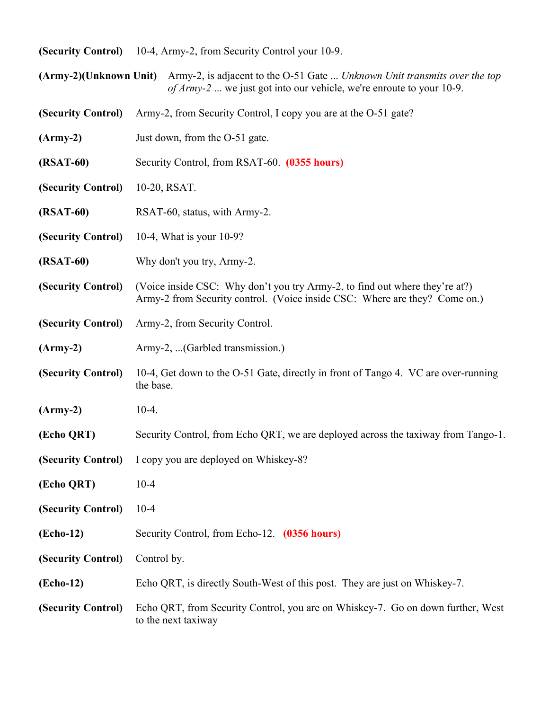| (Security Control) 10-4, Army-2, from Security Control your 10-9. |
|-------------------------------------------------------------------|
|-------------------------------------------------------------------|

|                    | <i>of Army-2</i> we just got into our vehicle, we're enroute to your 10-9.                                                                                |
|--------------------|-----------------------------------------------------------------------------------------------------------------------------------------------------------|
| (Security Control) | Army-2, from Security Control, I copy you are at the O-51 gate?                                                                                           |
| $(Army-2)$         | Just down, from the O-51 gate.                                                                                                                            |
| (RSAT-60)          | Security Control, from RSAT-60. (0355 hours)                                                                                                              |
| (Security Control) | 10-20, RSAT.                                                                                                                                              |
| $(RSAT-60)$        | RSAT-60, status, with Army-2.                                                                                                                             |
| (Security Control) | 10-4, What is your 10-9?                                                                                                                                  |
| $(RSAT-60)$        | Why don't you try, Army-2.                                                                                                                                |
| (Security Control) | (Voice inside CSC: Why don't you try Army-2, to find out where they're at?)<br>Army-2 from Security control. (Voice inside CSC: Where are they? Come on.) |
| (Security Control) | Army-2, from Security Control.                                                                                                                            |
| $(Army-2)$         | Army-2,  (Garbled transmission.)                                                                                                                          |
| (Security Control) | 10-4, Get down to the O-51 Gate, directly in front of Tango 4. VC are over-running<br>the base.                                                           |
| $(Army-2)$         | $10-4.$                                                                                                                                                   |
| (Echo QRT)         | Security Control, from Echo QRT, we are deployed across the taxiway from Tango-1.                                                                         |
| (Security Control) | I copy you are deployed on Whiskey-8?                                                                                                                     |
| (Echo QRT)         | $10-4$                                                                                                                                                    |
| (Security Control) | $10 - 4$                                                                                                                                                  |
| (Echo-12)          | Security Control, from Echo-12. (0356 hours)                                                                                                              |
| (Security Control) | Control by.                                                                                                                                               |
| (Echo-12)          | Echo QRT, is directly South-West of this post. They are just on Whiskey-7.                                                                                |
|                    |                                                                                                                                                           |

**(Army-2)(Unknown Unit)** Army-2, is adjacent to the O-51 Gate ... *Unknown Unit transmits over the top* 

**(Security Control)** Echo QRT, from Security Control, you are on Whiskey-7. Go on down further, West to the next taxiway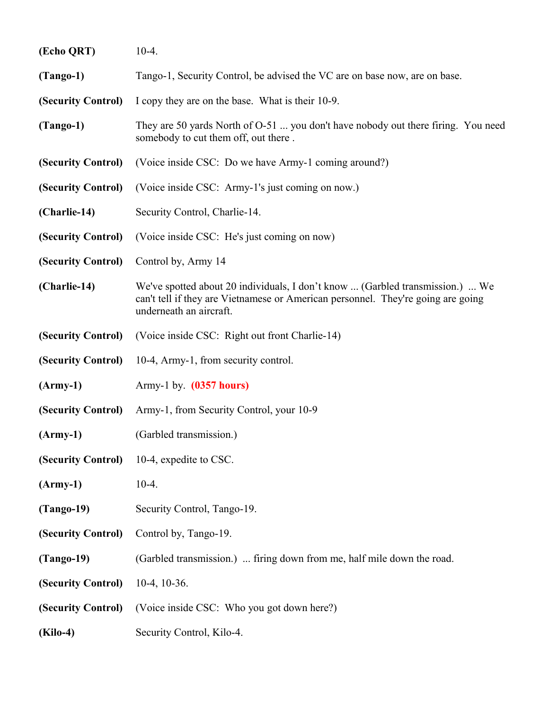| (Echo QRT)         | $10-4.$                                                                                                                                                                                      |
|--------------------|----------------------------------------------------------------------------------------------------------------------------------------------------------------------------------------------|
| $(Tango-1)$        | Tango-1, Security Control, be advised the VC are on base now, are on base.                                                                                                                   |
| (Security Control) | I copy they are on the base. What is their 10-9.                                                                                                                                             |
| $(Tango-1)$        | They are 50 yards North of O-51  you don't have nobody out there firing. You need<br>somebody to cut them off, out there.                                                                    |
| (Security Control) | (Voice inside CSC: Do we have Army-1 coming around?)                                                                                                                                         |
| (Security Control) | (Voice inside CSC: Army-1's just coming on now.)                                                                                                                                             |
| (Charlie-14)       | Security Control, Charlie-14.                                                                                                                                                                |
| (Security Control) | (Voice inside CSC: He's just coming on now)                                                                                                                                                  |
| (Security Control) | Control by, Army 14                                                                                                                                                                          |
| (Charlie-14)       | We've spotted about 20 individuals, I don't know  (Garbled transmission.)  We<br>can't tell if they are Vietnamese or American personnel. They're going are going<br>underneath an aircraft. |
| (Security Control) | (Voice inside CSC: Right out front Charlie-14)                                                                                                                                               |
| (Security Control) | 10-4, Army-1, from security control.                                                                                                                                                         |
| $(Arm-y-1)$        | Army-1 by. $(0357 hours)$                                                                                                                                                                    |
| (Security Control) | Army-1, from Security Control, your 10-9                                                                                                                                                     |
| $(Arm-y-1)$        | (Garbled transmission.)                                                                                                                                                                      |
| (Security Control) | 10-4, expedite to CSC.                                                                                                                                                                       |
| $(Arm-y-1)$        | $10-4.$                                                                                                                                                                                      |
| $(Tango-19)$       | Security Control, Tango-19.                                                                                                                                                                  |
| (Security Control) | Control by, Tango-19.                                                                                                                                                                        |
| $(Tango-19)$       | (Garbled transmission.)  firing down from me, half mile down the road.                                                                                                                       |
| (Security Control) | $10-4$ , $10-36$ .                                                                                                                                                                           |
| (Security Control) | (Voice inside CSC: Who you got down here?)                                                                                                                                                   |
| <b>(Kilo-4)</b>    | Security Control, Kilo-4.                                                                                                                                                                    |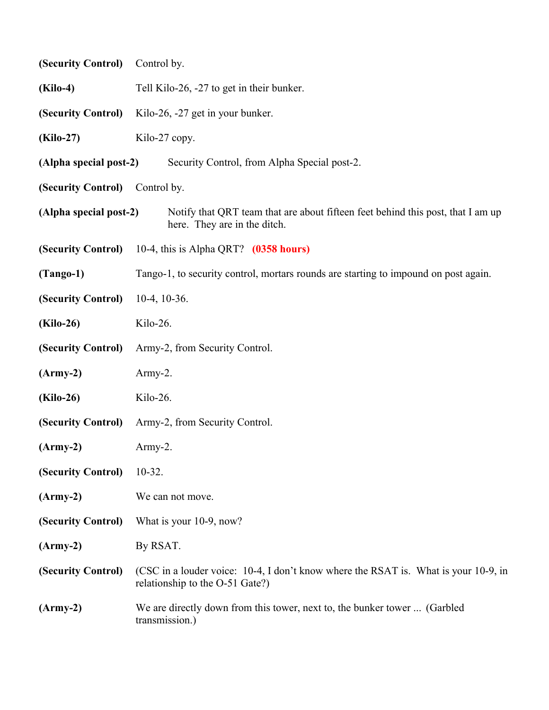| (Security Control)     | Control by.                                                                                                            |  |  |
|------------------------|------------------------------------------------------------------------------------------------------------------------|--|--|
| $(Kilo-4)$             | Tell Kilo-26, -27 to get in their bunker.                                                                              |  |  |
| (Security Control)     | Kilo-26, -27 get in your bunker.                                                                                       |  |  |
| (Kilo-27)              | Kilo-27 copy.                                                                                                          |  |  |
| (Alpha special post-2) | Security Control, from Alpha Special post-2.                                                                           |  |  |
| (Security Control)     | Control by.                                                                                                            |  |  |
| (Alpha special post-2) | Notify that QRT team that are about fifteen feet behind this post, that I am up<br>here. They are in the ditch.        |  |  |
| (Security Control)     | 10-4, this is Alpha QRT? $(0358$ hours)                                                                                |  |  |
| $(Tango-1)$            | Tango-1, to security control, mortars rounds are starting to impound on post again.                                    |  |  |
| (Security Control)     | $10-4$ , $10-36$ .                                                                                                     |  |  |
| <b>(Kilo-26)</b>       | Kilo-26.                                                                                                               |  |  |
| (Security Control)     | Army-2, from Security Control.                                                                                         |  |  |
| $(Arm-y-2)$            | Army-2.                                                                                                                |  |  |
| <b>(Kilo-26)</b>       | Kilo-26.                                                                                                               |  |  |
| (Security Control)     | Army-2, from Security Control.                                                                                         |  |  |
| $(Arm-y-2)$            | $A$ rmy-2.                                                                                                             |  |  |
| (Security Control)     | $10-32.$                                                                                                               |  |  |
| $(Army-2)$             | We can not move.                                                                                                       |  |  |
| (Security Control)     | What is your 10-9, now?                                                                                                |  |  |
| $(Arm-y-2)$            | By RSAT.                                                                                                               |  |  |
| (Security Control)     | (CSC in a louder voice: 10-4, I don't know where the RSAT is. What is your 10-9, in<br>relationship to the O-51 Gate?) |  |  |
| $(Army-2)$             | We are directly down from this tower, next to, the bunker tower  (Garbled<br>transmission.)                            |  |  |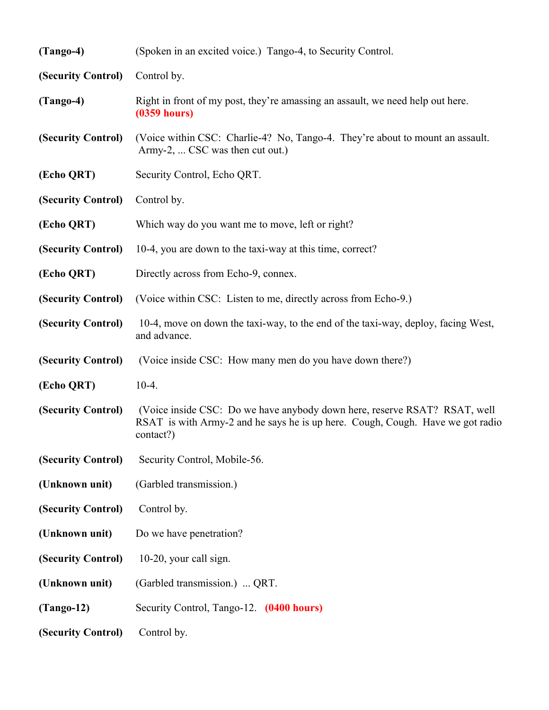| $(Tango-4)$        | (Spoken in an excited voice.) Tango-4, to Security Control.                                                                                                              |
|--------------------|--------------------------------------------------------------------------------------------------------------------------------------------------------------------------|
| (Security Control) | Control by.                                                                                                                                                              |
| $(Tango-4)$        | Right in front of my post, they're amassing an assault, we need help out here.<br>$(0359$ hours)                                                                         |
| (Security Control) | (Voice within CSC: Charlie-4? No, Tango-4. They're about to mount an assault.<br>Army-2,  CSC was then cut out.)                                                         |
| (Echo QRT)         | Security Control, Echo QRT.                                                                                                                                              |
| (Security Control) | Control by.                                                                                                                                                              |
| (Echo QRT)         | Which way do you want me to move, left or right?                                                                                                                         |
| (Security Control) | 10-4, you are down to the taxi-way at this time, correct?                                                                                                                |
| (Echo QRT)         | Directly across from Echo-9, connex.                                                                                                                                     |
| (Security Control) | (Voice within CSC: Listen to me, directly across from Echo-9.)                                                                                                           |
| (Security Control) | 10-4, move on down the taxi-way, to the end of the taxi-way, deploy, facing West,<br>and advance.                                                                        |
| (Security Control) | (Voice inside CSC: How many men do you have down there?)                                                                                                                 |
| (Echo QRT)         | $10-4.$                                                                                                                                                                  |
| (Security Control) | (Voice inside CSC: Do we have anybody down here, reserve RSAT? RSAT, well<br>RSAT is with Army-2 and he says he is up here. Cough, Cough. Have we got radio<br>contact?) |
| (Security Control) | Security Control, Mobile-56.                                                                                                                                             |
| (Unknown unit)     | (Garbled transmission.)                                                                                                                                                  |
| (Security Control) | Control by.                                                                                                                                                              |
| (Unknown unit)     | Do we have penetration?                                                                                                                                                  |
| (Security Control) | 10-20, your call sign.                                                                                                                                                   |
| (Unknown unit)     | (Garbled transmission.)  QRT.                                                                                                                                            |
| $(Tango-12)$       | Security Control, Tango-12. (0400 hours)                                                                                                                                 |
| (Security Control) | Control by.                                                                                                                                                              |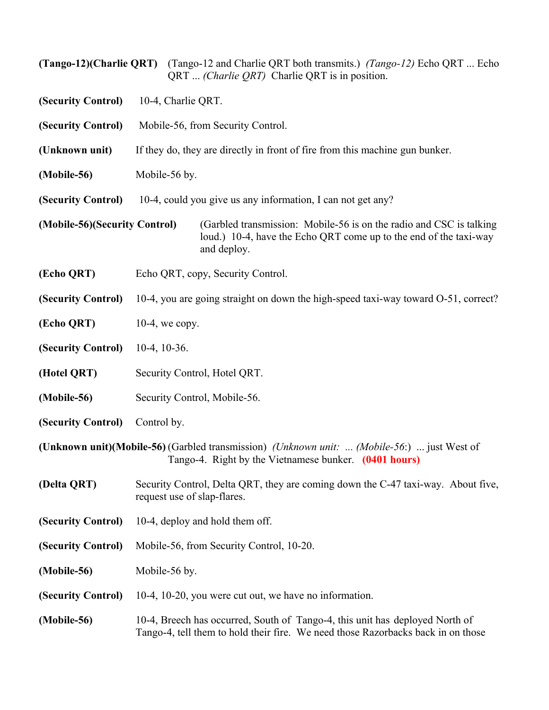|                               |                                                                              | (Tango-12)(Charlie QRT) (Tango-12 and Charlie QRT both transmits.) (Tango-12) Echo QRT  Echo<br>QRT <i>(Charlie QRT)</i> Charlie QRT is in position.             |  |
|-------------------------------|------------------------------------------------------------------------------|------------------------------------------------------------------------------------------------------------------------------------------------------------------|--|
| (Security Control)            |                                                                              | 10-4, Charlie QRT.                                                                                                                                               |  |
| (Security Control)            | Mobile-56, from Security Control.                                            |                                                                                                                                                                  |  |
| (Unknown unit)                | If they do, they are directly in front of fire from this machine gun bunker. |                                                                                                                                                                  |  |
| (Mobile-56)                   | Mobile-56 by.                                                                |                                                                                                                                                                  |  |
| (Security Control)            |                                                                              | 10-4, could you give us any information, I can not get any?                                                                                                      |  |
| (Mobile-56)(Security Control) |                                                                              | (Garbled transmission: Mobile-56 is on the radio and CSC is talking<br>loud.) 10-4, have the Echo QRT come up to the end of the taxi-way<br>and deploy.          |  |
| (Echo QRT)                    |                                                                              | Echo QRT, copy, Security Control.                                                                                                                                |  |
| (Security Control)            |                                                                              | 10-4, you are going straight on down the high-speed taxi-way toward O-51, correct?                                                                               |  |
| (Echo QRT)                    | $10-4$ , we copy.                                                            |                                                                                                                                                                  |  |
| (Security Control)            | $10-4$ , $10-36$ .                                                           |                                                                                                                                                                  |  |
| (Hotel QRT)                   |                                                                              | Security Control, Hotel QRT.                                                                                                                                     |  |
| (Mobile-56)                   |                                                                              | Security Control, Mobile-56.                                                                                                                                     |  |
| (Security Control)            | Control by.                                                                  |                                                                                                                                                                  |  |
|                               |                                                                              | (Unknown unit)(Mobile-56) (Garbled transmission) (Unknown unit:  (Mobile-56:)  just West of<br>Tango-4. Right by the Vietnamese bunker. (0401 hours)             |  |
| (Delta QRT)                   |                                                                              | Security Control, Delta QRT, they are coming down the C-47 taxi-way. About five,<br>request use of slap-flares.                                                  |  |
| (Security Control)            | 10-4, deploy and hold them off.                                              |                                                                                                                                                                  |  |
| (Security Control)            | Mobile-56, from Security Control, 10-20.                                     |                                                                                                                                                                  |  |
| (Mobile-56)                   | Mobile-56 by.                                                                |                                                                                                                                                                  |  |
| (Security Control)            |                                                                              | 10-4, 10-20, you were cut out, we have no information.                                                                                                           |  |
| (Mobile-56)                   |                                                                              | 10-4, Breech has occurred, South of Tango-4, this unit has deployed North of<br>Tango-4, tell them to hold their fire. We need those Razorbacks back in on those |  |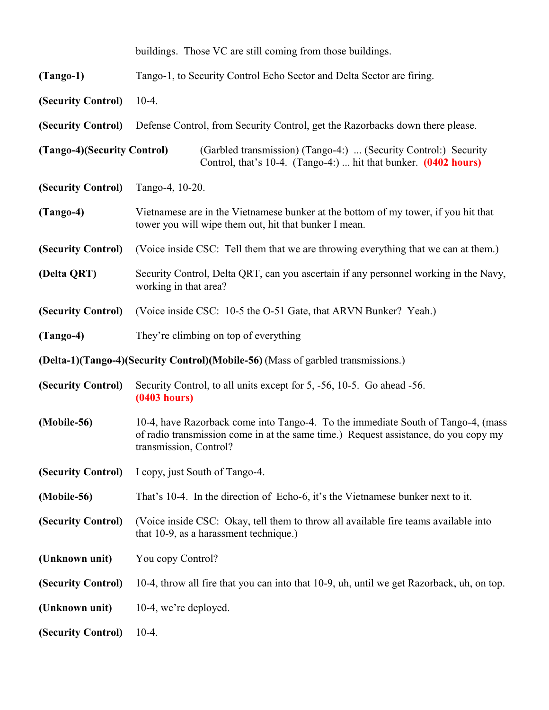|                             |                                                                                                               | buildings. Those VC are still coming from those buildings.                                                                                                              |
|-----------------------------|---------------------------------------------------------------------------------------------------------------|-------------------------------------------------------------------------------------------------------------------------------------------------------------------------|
| $(Tango-1)$                 |                                                                                                               | Tango-1, to Security Control Echo Sector and Delta Sector are firing.                                                                                                   |
| (Security Control)          | $10-4.$                                                                                                       |                                                                                                                                                                         |
| (Security Control)          |                                                                                                               | Defense Control, from Security Control, get the Razorbacks down there please.                                                                                           |
| (Tango-4)(Security Control) |                                                                                                               | (Garbled transmission) (Tango-4:)  (Security Control:) Security<br>Control, that's 10-4. (Tango-4:)  hit that bunker. (0402 hours)                                      |
| (Security Control)          | Tango-4, 10-20.                                                                                               |                                                                                                                                                                         |
| $(Tango-4)$                 |                                                                                                               | Vietnamese are in the Vietnamese bunker at the bottom of my tower, if you hit that<br>tower you will wipe them out, hit that bunker I mean.                             |
| (Security Control)          |                                                                                                               | (Voice inside CSC: Tell them that we are throwing everything that we can at them.)                                                                                      |
| (Delta QRT)                 | Security Control, Delta QRT, can you ascertain if any personnel working in the Navy,<br>working in that area? |                                                                                                                                                                         |
| (Security Control)          |                                                                                                               | (Voice inside CSC: 10-5 the O-51 Gate, that ARVN Bunker? Yeah.)                                                                                                         |
| $(Tango-4)$                 |                                                                                                               | They're climbing on top of everything                                                                                                                                   |
|                             |                                                                                                               | (Delta-1)(Tango-4)(Security Control)(Mobile-56) (Mass of garbled transmissions.)                                                                                        |
| (Security Control)          | (0403 hours)                                                                                                  | Security Control, to all units except for 5, -56, 10-5. Go ahead -56.                                                                                                   |
| (Mobile-56)                 | transmission, Control?                                                                                        | 10-4, have Razorback come into Tango-4. To the immediate South of Tango-4, (mass<br>of radio transmission come in at the same time.) Request assistance, do you copy my |
| (Security Control)          |                                                                                                               | I copy, just South of Tango-4.                                                                                                                                          |
| (Mobile-56)                 |                                                                                                               | That's 10-4. In the direction of Echo-6, it's the Vietnamese bunker next to it.                                                                                         |
| (Security Control)          |                                                                                                               | (Voice inside CSC: Okay, tell them to throw all available fire teams available into<br>that 10-9, as a harassment technique.)                                           |
| (Unknown unit)              | You copy Control?                                                                                             |                                                                                                                                                                         |
| (Security Control)          |                                                                                                               | 10-4, throw all fire that you can into that 10-9, uh, until we get Razorback, uh, on top.                                                                               |
| (Unknown unit)              | 10-4, we're deployed.                                                                                         |                                                                                                                                                                         |
| (Security Control)          | $10-4.$                                                                                                       |                                                                                                                                                                         |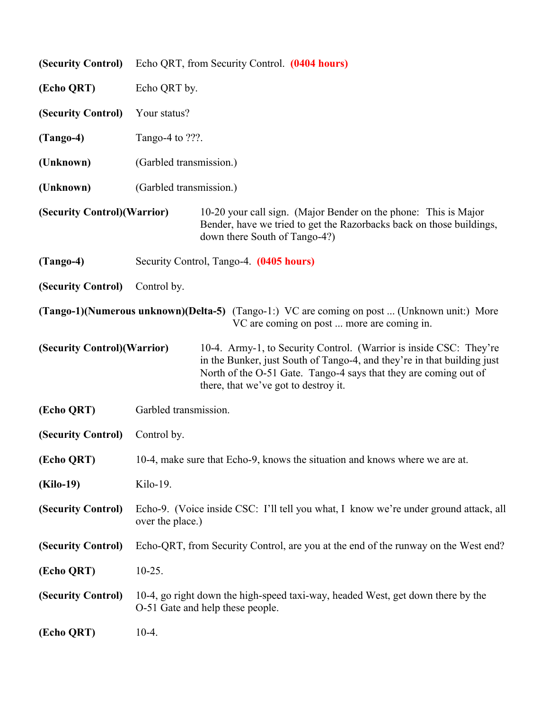| (Security Control)           | Echo QRT, from Security Control. (0404 hours) |                                                                                                                                                                                                                                                           |
|------------------------------|-----------------------------------------------|-----------------------------------------------------------------------------------------------------------------------------------------------------------------------------------------------------------------------------------------------------------|
| (Echo QRT)                   | Echo QRT by.                                  |                                                                                                                                                                                                                                                           |
| (Security Control)           | Your status?                                  |                                                                                                                                                                                                                                                           |
| $(Tango-4)$                  | Tango-4 to ???.                               |                                                                                                                                                                                                                                                           |
| (Unknown)                    | (Garbled transmission.)                       |                                                                                                                                                                                                                                                           |
| (Unknown)                    | (Garbled transmission.)                       |                                                                                                                                                                                                                                                           |
| (Security Control) (Warrior) |                                               | 10-20 your call sign. (Major Bender on the phone: This is Major<br>Bender, have we tried to get the Razorbacks back on those buildings,<br>down there South of Tango-4?)                                                                                  |
| $(Tango-4)$                  |                                               | Security Control, Tango-4. (0405 hours)                                                                                                                                                                                                                   |
| (Security Control)           | Control by.                                   |                                                                                                                                                                                                                                                           |
|                              |                                               | (Tango-1)(Numerous unknown)(Delta-5) (Tango-1:) VC are coming on post  (Unknown unit:) More<br>VC are coming on post  more are coming in.                                                                                                                 |
| (Security Control) (Warrior) |                                               | 10-4. Army-1, to Security Control. (Warrior is inside CSC: They're<br>in the Bunker, just South of Tango-4, and they're in that building just<br>North of the O-51 Gate. Tango-4 says that they are coming out of<br>there, that we've got to destroy it. |
| (Echo QRT)                   | Garbled transmission.                         |                                                                                                                                                                                                                                                           |
| (Security Control)           | Control by.                                   |                                                                                                                                                                                                                                                           |
| (Echo QRT)                   |                                               | 10-4, make sure that Echo-9, knows the situation and knows where we are at.                                                                                                                                                                               |
| <b>(Kilo-19)</b>             | Kilo-19.                                      |                                                                                                                                                                                                                                                           |
| (Security Control)           | over the place.)                              | Echo-9. (Voice inside CSC: I'll tell you what, I know we're under ground attack, all                                                                                                                                                                      |
| (Security Control)           |                                               | Echo-QRT, from Security Control, are you at the end of the runway on the West end?                                                                                                                                                                        |
| (Echo QRT)                   | $10-25.$                                      |                                                                                                                                                                                                                                                           |
| (Security Control)           |                                               | 10-4, go right down the high-speed taxi-way, headed West, get down there by the<br>O-51 Gate and help these people.                                                                                                                                       |
| (Echo QRT)                   | $10-4.$                                       |                                                                                                                                                                                                                                                           |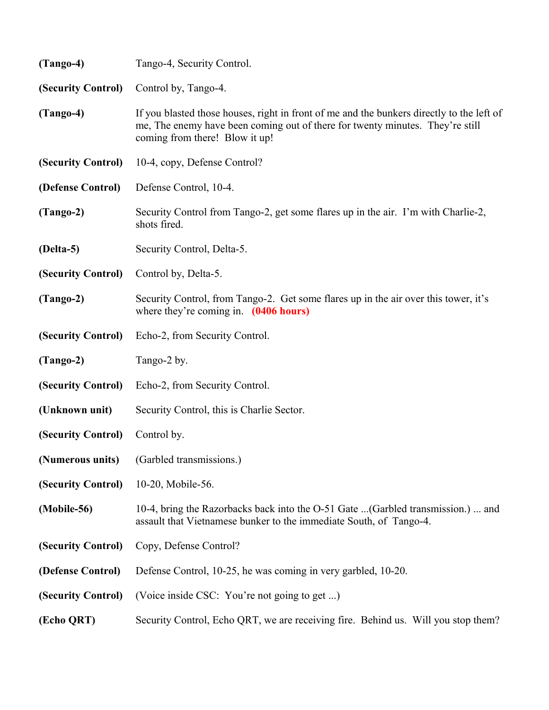| Tango-4, Security Control.                                                                                                                                                                                   |  |
|--------------------------------------------------------------------------------------------------------------------------------------------------------------------------------------------------------------|--|
| Control by, Tango-4.                                                                                                                                                                                         |  |
| If you blasted those houses, right in front of me and the bunkers directly to the left of<br>me, The enemy have been coming out of there for twenty minutes. They're still<br>coming from there! Blow it up! |  |
| 10-4, copy, Defense Control?                                                                                                                                                                                 |  |
| Defense Control, 10-4.                                                                                                                                                                                       |  |
| Security Control from Tango-2, get some flares up in the air. I'm with Charlie-2,<br>shots fired.                                                                                                            |  |
| Security Control, Delta-5.                                                                                                                                                                                   |  |
| Control by, Delta-5.                                                                                                                                                                                         |  |
| Security Control, from Tango-2. Get some flares up in the air over this tower, it's<br>where they're coming in. $(0406 \text{ hours})$                                                                       |  |
| Echo-2, from Security Control.                                                                                                                                                                               |  |
| Tango-2 by.                                                                                                                                                                                                  |  |
| Echo-2, from Security Control.                                                                                                                                                                               |  |
| Security Control, this is Charlie Sector.                                                                                                                                                                    |  |
| Control by.                                                                                                                                                                                                  |  |
| (Numerous units) (Garbled transmissions.)                                                                                                                                                                    |  |
| 10-20, Mobile-56.                                                                                                                                                                                            |  |
| 10-4, bring the Razorbacks back into the O-51 Gate (Garbled transmission.)  and<br>assault that Vietnamese bunker to the immediate South, of Tango-4.                                                        |  |
| Copy, Defense Control?                                                                                                                                                                                       |  |
| Defense Control, 10-25, he was coming in very garbled, 10-20.                                                                                                                                                |  |
| (Voice inside CSC: You're not going to get )                                                                                                                                                                 |  |
| Security Control, Echo QRT, we are receiving fire. Behind us. Will you stop them?                                                                                                                            |  |
|                                                                                                                                                                                                              |  |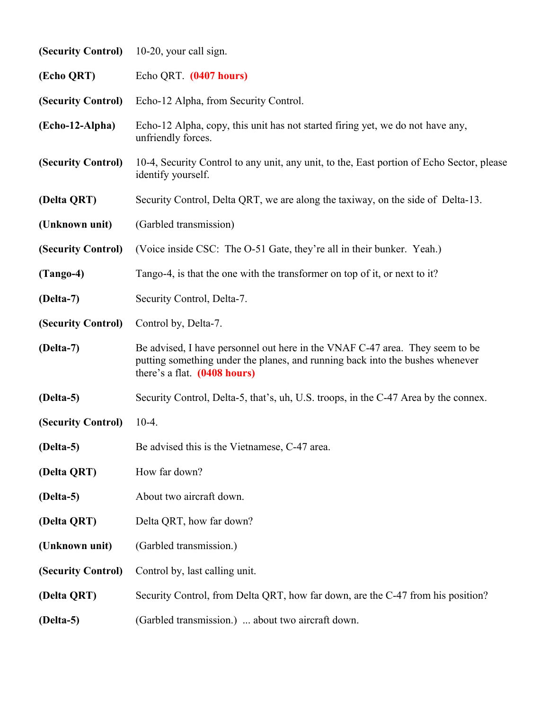| (Security Control) | 10-20, your call sign.                                                                                                                                                                        |
|--------------------|-----------------------------------------------------------------------------------------------------------------------------------------------------------------------------------------------|
| (Echo QRT)         | Echo QRT. (0407 hours)                                                                                                                                                                        |
| (Security Control) | Echo-12 Alpha, from Security Control.                                                                                                                                                         |
| (Echo-12-Alpha)    | Echo-12 Alpha, copy, this unit has not started firing yet, we do not have any,<br>unfriendly forces.                                                                                          |
| (Security Control) | 10-4, Security Control to any unit, any unit, to the, East portion of Echo Sector, please<br>identify yourself.                                                                               |
| (Delta QRT)        | Security Control, Delta QRT, we are along the taxiway, on the side of Delta-13.                                                                                                               |
| (Unknown unit)     | (Garbled transmission)                                                                                                                                                                        |
| (Security Control) | (Voice inside CSC: The O-51 Gate, they're all in their bunker. Yeah.)                                                                                                                         |
| $(Tango-4)$        | Tango-4, is that the one with the transformer on top of it, or next to it?                                                                                                                    |
| (Delta-7)          | Security Control, Delta-7.                                                                                                                                                                    |
| (Security Control) | Control by, Delta-7.                                                                                                                                                                          |
| (Delta-7)          | Be advised, I have personnel out here in the VNAF C-47 area. They seem to be<br>putting something under the planes, and running back into the bushes whenever<br>there's a flat. (0408 hours) |
| (Delta-5)          | Security Control, Delta-5, that's, uh, U.S. troops, in the C-47 Area by the connex.                                                                                                           |
| (Security Control) | $10-4.$                                                                                                                                                                                       |
| $(Delta-5)$        | Be advised this is the Vietnamese, C-47 area.                                                                                                                                                 |
| (Delta QRT)        | How far down?                                                                                                                                                                                 |
| (Delta-5)          | About two aircraft down.                                                                                                                                                                      |
| (Delta QRT)        | Delta QRT, how far down?                                                                                                                                                                      |
| (Unknown unit)     | (Garbled transmission.)                                                                                                                                                                       |
| (Security Control) | Control by, last calling unit.                                                                                                                                                                |
| (Delta QRT)        | Security Control, from Delta QRT, how far down, are the C-47 from his position?                                                                                                               |
| (Delta-5)          | (Garbled transmission.)  about two aircraft down.                                                                                                                                             |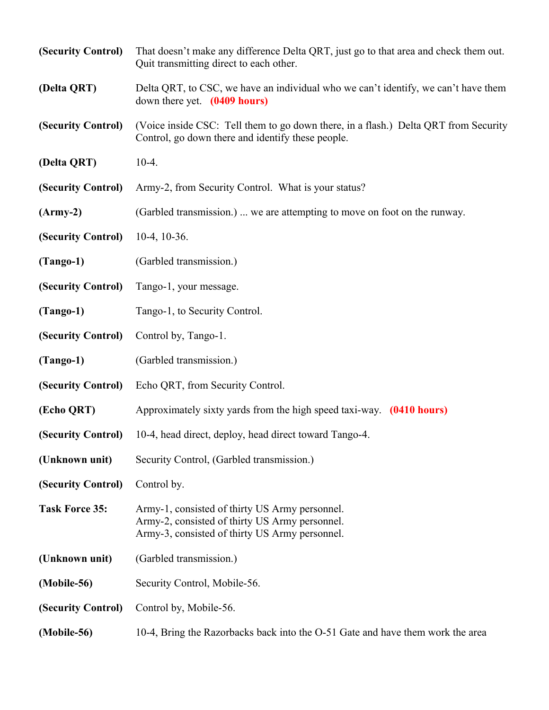| (Security Control)    | That doesn't make any difference Delta QRT, just go to that area and check them out.<br>Quit transmitting direct to each other.                    |
|-----------------------|----------------------------------------------------------------------------------------------------------------------------------------------------|
| (Delta QRT)           | Delta QRT, to CSC, we have an individual who we can't identify, we can't have them<br>down there yet. (0409 hours)                                 |
| (Security Control)    | (Voice inside CSC: Tell them to go down there, in a flash.) Delta QRT from Security<br>Control, go down there and identify these people.           |
| (Delta QRT)           | $10-4.$                                                                                                                                            |
| (Security Control)    | Army-2, from Security Control. What is your status?                                                                                                |
| $(Arm-y-2)$           | (Garbled transmission.)  we are attempting to move on foot on the runway.                                                                          |
| (Security Control)    | $10-4$ , $10-36$ .                                                                                                                                 |
| $(Tango-1)$           | (Garbled transmission.)                                                                                                                            |
| (Security Control)    | Tango-1, your message.                                                                                                                             |
| $(Tango-1)$           | Tango-1, to Security Control.                                                                                                                      |
| (Security Control)    | Control by, Tango-1.                                                                                                                               |
| $(Tango-1)$           | (Garbled transmission.)                                                                                                                            |
| (Security Control)    | Echo QRT, from Security Control.                                                                                                                   |
| (Echo QRT)            | Approximately sixty yards from the high speed taxi-way. (0410 hours)                                                                               |
| (Security Control)    | 10-4, head direct, deploy, head direct toward Tango-4.                                                                                             |
| (Unknown unit)        | Security Control, (Garbled transmission.)                                                                                                          |
| (Security Control)    | Control by.                                                                                                                                        |
| <b>Task Force 35:</b> | Army-1, consisted of thirty US Army personnel.<br>Army-2, consisted of thirty US Army personnel.<br>Army-3, consisted of thirty US Army personnel. |
| (Unknown unit)        | (Garbled transmission.)                                                                                                                            |
| (Mobile-56)           | Security Control, Mobile-56.                                                                                                                       |
| (Security Control)    | Control by, Mobile-56.                                                                                                                             |
| (Mobile-56)           | 10-4, Bring the Razorbacks back into the O-51 Gate and have them work the area                                                                     |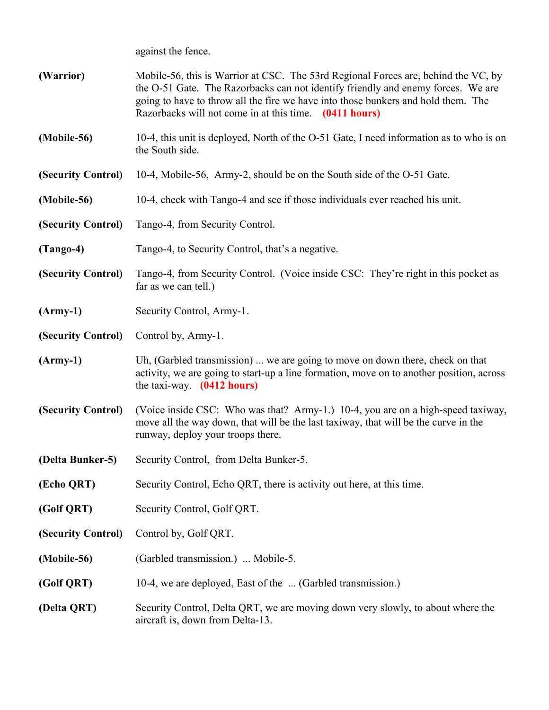against the fence.

- **(Warrior)** Mobile-56, this is Warrior at CSC. The 53rd Regional Forces are, behind the VC, by the O-51 Gate. The Razorbacks can not identify friendly and enemy forces. We are going to have to throw all the fire we have into those bunkers and hold them. The Razorbacks will not come in at this time. **(0411 hours)**
- **(Mobile-56)** 10-4, this unit is deployed, North of the O-51 Gate, I need information as to who is on the South side.
- **(Security Control)** 10-4, Mobile-56, Army-2, should be on the South side of the O-51 Gate.
- **(Mobile-56)** 10-4, check with Tango-4 and see if those individuals ever reached his unit.
- **(Security Control)** Tango-4, from Security Control.
- **(Tango-4)** Tango-4, to Security Control, that's a negative.
- **(Security Control)** Tango-4, from Security Control. (Voice inside CSC: They're right in this pocket as far as we can tell.)
- **(Army-1)** Security Control, Army-1.
- **(Security Control)** Control by, Army-1.
- **(Army-1)** Uh, (Garbled transmission) ... we are going to move on down there, check on that activity, we are going to start-up a line formation, move on to another position, across the taxi-way. **(0412 hours)**
- **(Security Control)** (Voice inside CSC: Who was that? Army-1.) 10-4, you are on a high-speed taxiway, move all the way down, that will be the last taxiway, that will be the curve in the runway, deploy your troops there.
- **(Delta Bunker-5)** Security Control, from Delta Bunker-5.
- **(Echo QRT)** Security Control, Echo QRT, there is activity out here, at this time.
- **(Golf QRT)** Security Control, Golf QRT.
- **(Security Control)** Control by, Golf QRT.
- **(Mobile-56)** (Garbled transmission.) ... Mobile-5.
- **(Golf QRT)** 10-4, we are deployed, East of the ... (Garbled transmission.)
- **(Delta QRT)** Security Control, Delta QRT, we are moving down very slowly, to about where the aircraft is, down from Delta-13.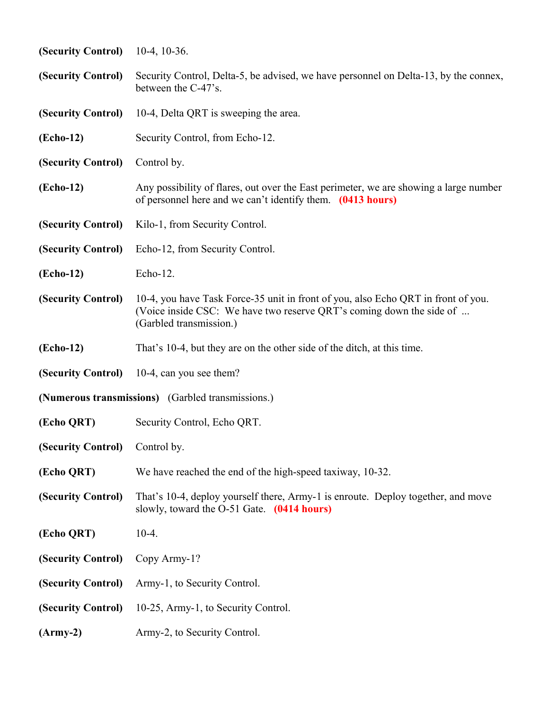| (Security Control)             | $10-4$ , 10 $-36$ .                                                                                                                                                                  |
|--------------------------------|--------------------------------------------------------------------------------------------------------------------------------------------------------------------------------------|
| (Security Control)             | Security Control, Delta-5, be advised, we have personnel on Delta-13, by the connex,<br>between the C-47's.                                                                          |
| (Security Control)             | 10-4, Delta QRT is sweeping the area.                                                                                                                                                |
| (Echo-12)                      | Security Control, from Echo-12.                                                                                                                                                      |
| (Security Control)             | Control by.                                                                                                                                                                          |
| (Echo-12)                      | Any possibility of flares, out over the East perimeter, we are showing a large number<br>of personnel here and we can't identify them. (0413 hours)                                  |
| (Security Control)             | Kilo-1, from Security Control.                                                                                                                                                       |
| (Security Control)             | Echo-12, from Security Control.                                                                                                                                                      |
| (Echo-12)                      | Echo-12.                                                                                                                                                                             |
| (Security Control)             | 10-4, you have Task Force-35 unit in front of you, also Echo QRT in front of you.<br>(Voice inside CSC: We have two reserve QRT's coming down the side of<br>(Garbled transmission.) |
| (Echo-12)                      | That's 10-4, but they are on the other side of the ditch, at this time.                                                                                                              |
|                                | (Security Control) 10-4, can you see them?                                                                                                                                           |
|                                | (Numerous transmissions) (Garbled transmissions.)                                                                                                                                    |
| (Echo QRT)                     | Security Control, Echo QRT.                                                                                                                                                          |
| (Security Control) Control by. |                                                                                                                                                                                      |
| (Echo QRT)                     | We have reached the end of the high-speed taxiway, 10-32.                                                                                                                            |
| (Security Control)             | That's 10-4, deploy yourself there, Army-1 is enroute. Deploy together, and move<br>slowly, toward the O-51 Gate. (0414 hours)                                                       |
| (Echo QRT)                     | $10-4.$                                                                                                                                                                              |
| (Security Control)             | Copy Army-1?                                                                                                                                                                         |
| (Security Control)             | Army-1, to Security Control.                                                                                                                                                         |
| (Security Control)             | 10-25, Army-1, to Security Control.                                                                                                                                                  |
| $(Arm-y-2)$                    | Army-2, to Security Control.                                                                                                                                                         |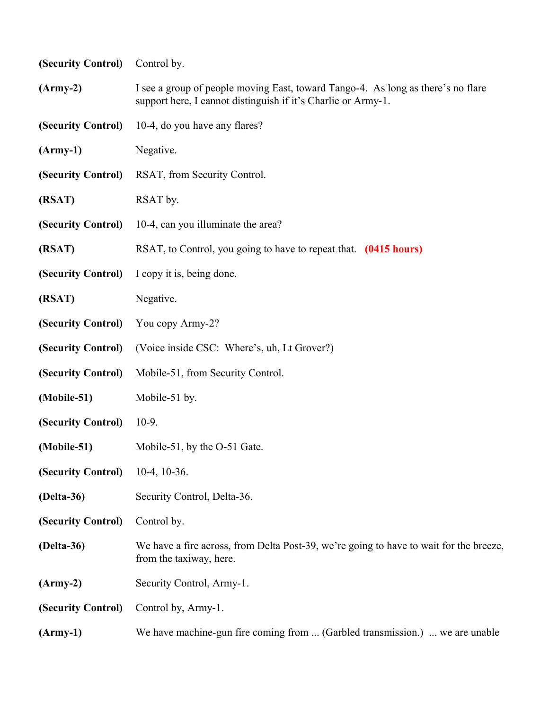| (Security Control) | Control by.                                                                                                                                       |  |
|--------------------|---------------------------------------------------------------------------------------------------------------------------------------------------|--|
| $(Arm-y-2)$        | I see a group of people moving East, toward Tango-4. As long as there's no flare<br>support here, I cannot distinguish if it's Charlie or Army-1. |  |
| (Security Control) | 10-4, do you have any flares?                                                                                                                     |  |
| $(Arm-y-1)$        | Negative.                                                                                                                                         |  |
| (Security Control) | RSAT, from Security Control.                                                                                                                      |  |
| (RSAT)             | RSAT by.                                                                                                                                          |  |
| (Security Control) | 10-4, can you illuminate the area?                                                                                                                |  |
| (RSAT)             | RSAT, to Control, you going to have to repeat that. (0415 hours)                                                                                  |  |
| (Security Control) | I copy it is, being done.                                                                                                                         |  |
| (RSAT)             | Negative.                                                                                                                                         |  |
| (Security Control) | You copy Army-2?                                                                                                                                  |  |
| (Security Control) | (Voice inside CSC: Where's, uh, Lt Grover?)                                                                                                       |  |
| (Security Control) | Mobile-51, from Security Control.                                                                                                                 |  |
| (Mobile-51)        | Mobile-51 by.                                                                                                                                     |  |
| (Security Control) | $10-9.$                                                                                                                                           |  |
| (Mobile-51)        | Mobile-51, by the O-51 Gate.                                                                                                                      |  |
| (Security Control) | $10-4$ , $10-36$ .                                                                                                                                |  |
| (Delta-36)         | Security Control, Delta-36.                                                                                                                       |  |
| (Security Control) | Control by.                                                                                                                                       |  |
| (Delta-36)         | We have a fire across, from Delta Post-39, we're going to have to wait for the breeze,<br>from the taxiway, here.                                 |  |
| $(Arm-y-2)$        | Security Control, Army-1.                                                                                                                         |  |
| (Security Control) | Control by, Army-1.                                                                                                                               |  |
| $(Arm-y-1)$        | We have machine-gun fire coming from  (Garbled transmission.)  we are unable                                                                      |  |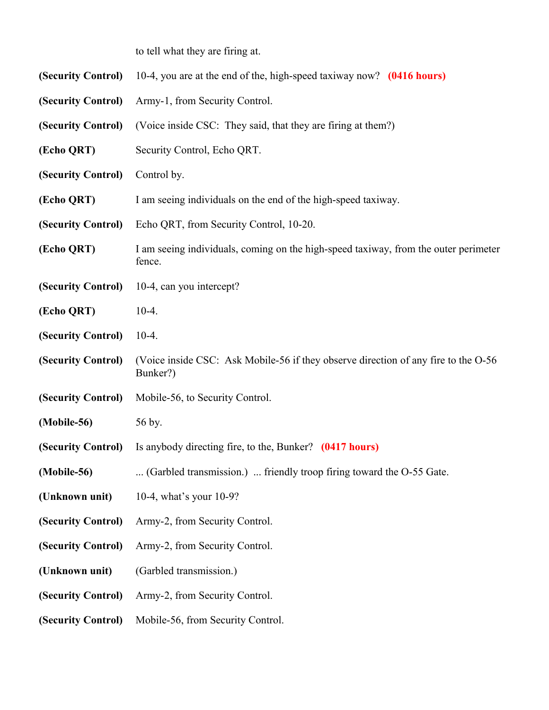to tell what they are firing at.

| (Security Control) | 10-4, you are at the end of the, high-speed taxiway now? (0416 hours)                          |
|--------------------|------------------------------------------------------------------------------------------------|
| (Security Control) | Army-1, from Security Control.                                                                 |
| (Security Control) | (Voice inside CSC: They said, that they are firing at them?)                                   |
| (Echo QRT)         | Security Control, Echo QRT.                                                                    |
| (Security Control) | Control by.                                                                                    |
| (Echo QRT)         | I am seeing individuals on the end of the high-speed taxiway.                                  |
| (Security Control) | Echo QRT, from Security Control, 10-20.                                                        |
| (Echo QRT)         | I am seeing individuals, coming on the high-speed taxiway, from the outer perimeter<br>fence.  |
| (Security Control) | 10-4, can you intercept?                                                                       |
| (Echo QRT)         | $10-4.$                                                                                        |
| (Security Control) | $10-4.$                                                                                        |
| (Security Control) | (Voice inside CSC: Ask Mobile-56 if they observe direction of any fire to the O-56<br>Bunker?) |
| (Security Control) | Mobile-56, to Security Control.                                                                |
| (Mobile-56)        | 56 by.                                                                                         |
| (Security Control) | Is anybody directing fire, to the, Bunker? (0417 hours)                                        |
| (Mobile-56)        | (Garbled transmission.)  friendly troop firing toward the O-55 Gate.                           |
| (Unknown unit)     | 10-4, what's your 10-9?                                                                        |
| (Security Control) | Army-2, from Security Control.                                                                 |
| (Security Control) | Army-2, from Security Control.                                                                 |
| (Unknown unit)     | (Garbled transmission.)                                                                        |
| (Security Control) | Army-2, from Security Control.                                                                 |
| (Security Control) | Mobile-56, from Security Control.                                                              |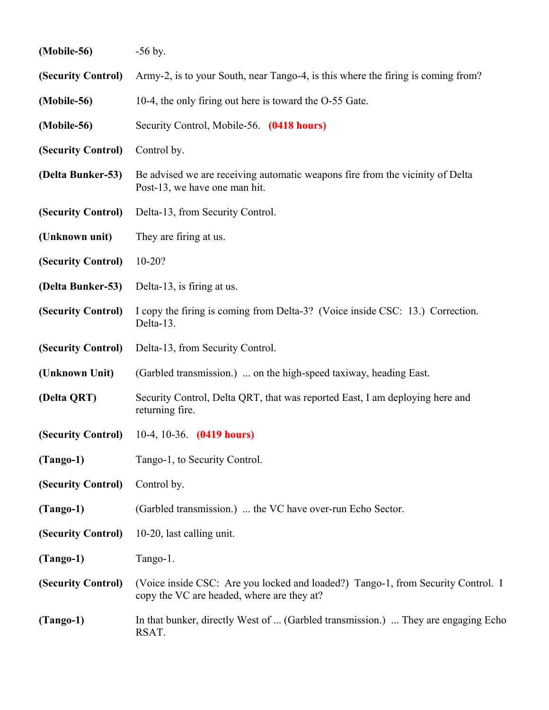| (Mobile-56)        | $-56$ by.                                                                                                                      |
|--------------------|--------------------------------------------------------------------------------------------------------------------------------|
| (Security Control) | Army-2, is to your South, near Tango-4, is this where the firing is coming from?                                               |
| (Mobile-56)        | 10-4, the only firing out here is toward the O-55 Gate.                                                                        |
| (Mobile-56)        | Security Control, Mobile-56. (0418 hours)                                                                                      |
| (Security Control) | Control by.                                                                                                                    |
| (Delta Bunker-53)  | Be advised we are receiving automatic weapons fire from the vicinity of Delta<br>Post-13, we have one man hit.                 |
| (Security Control) | Delta-13, from Security Control.                                                                                               |
| (Unknown unit)     | They are firing at us.                                                                                                         |
| (Security Control) | $10-20?$                                                                                                                       |
| (Delta Bunker-53)  | Delta-13, is firing at us.                                                                                                     |
| (Security Control) | I copy the firing is coming from Delta-3? (Voice inside CSC: 13.) Correction.<br>Delta-13.                                     |
| (Security Control) | Delta-13, from Security Control.                                                                                               |
| (Unknown Unit)     | (Garbled transmission.)  on the high-speed taxiway, heading East.                                                              |
| (Delta QRT)        | Security Control, Delta QRT, that was reported East, I am deploying here and<br>returning fire.                                |
| (Security Control) | 10-4, 10-36. $(0419 hours)$                                                                                                    |
| $(Tango-1)$        | Tango-1, to Security Control.                                                                                                  |
| (Security Control) | Control by.                                                                                                                    |
| $(Tango-1)$        | (Garbled transmission.)  the VC have over-run Echo Sector.                                                                     |
| (Security Control) | 10-20, last calling unit.                                                                                                      |
| $(Tango-1)$        | Tango-1.                                                                                                                       |
| (Security Control) | (Voice inside CSC: Are you locked and loaded?) Tango-1, from Security Control. I<br>copy the VC are headed, where are they at? |
| $(Tango-1)$        | In that bunker, directly West of  (Garbled transmission.)  They are engaging Echo<br>RSAT.                                     |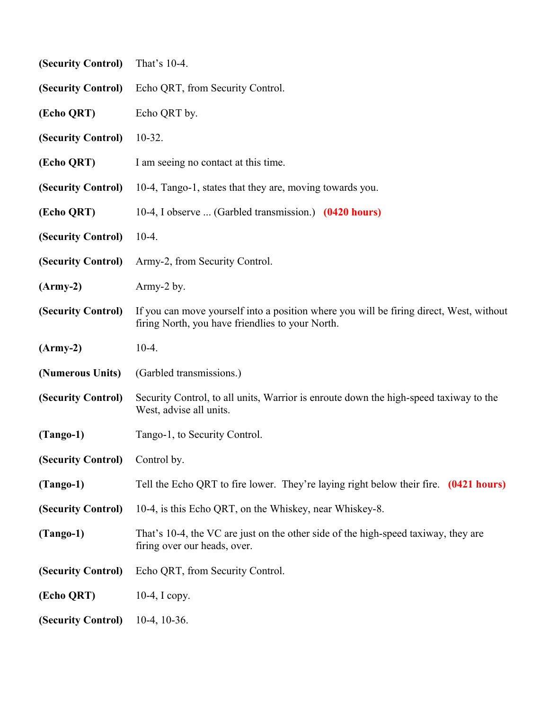| (Security Control)             | That's 10-4.                                                                                                                                |
|--------------------------------|---------------------------------------------------------------------------------------------------------------------------------------------|
| (Security Control)             | Echo QRT, from Security Control.                                                                                                            |
| (Echo QRT)                     | Echo QRT by.                                                                                                                                |
| (Security Control)             | $10-32.$                                                                                                                                    |
| (Echo QRT)                     | I am seeing no contact at this time.                                                                                                        |
| (Security Control)             | 10-4, Tango-1, states that they are, moving towards you.                                                                                    |
| (Echo QRT)                     | 10-4, I observe  (Garbled transmission.) (0420 hours)                                                                                       |
| (Security Control)             | $10-4.$                                                                                                                                     |
| (Security Control)             | Army-2, from Security Control.                                                                                                              |
| $(Arm-y-2)$                    | Army-2 by.                                                                                                                                  |
| (Security Control)             | If you can move yourself into a position where you will be firing direct, West, without<br>firing North, you have friendlies to your North. |
| $(Army-2)$                     | $10-4.$                                                                                                                                     |
| (Numerous Units)               | (Garbled transmissions.)                                                                                                                    |
| (Security Control)             | Security Control, to all units, Warrior is enroute down the high-speed taxiway to the<br>West, advise all units.                            |
| $(Tango-1)$                    | Tango-1, to Security Control.                                                                                                               |
| (Security Control) Control by. |                                                                                                                                             |
| $(Tango-1)$                    | Tell the Echo QRT to fire lower. They're laying right below their fire. (0421 hours)                                                        |
| (Security Control)             | 10-4, is this Echo QRT, on the Whiskey, near Whiskey-8.                                                                                     |
| $(Tango-1)$                    | That's 10-4, the VC are just on the other side of the high-speed taxiway, they are<br>firing over our heads, over.                          |
| (Security Control)             | Echo QRT, from Security Control.                                                                                                            |
| (Echo QRT)                     | $10-4$ , I copy.                                                                                                                            |
| (Security Control)             | $10-4$ , $10-36$ .                                                                                                                          |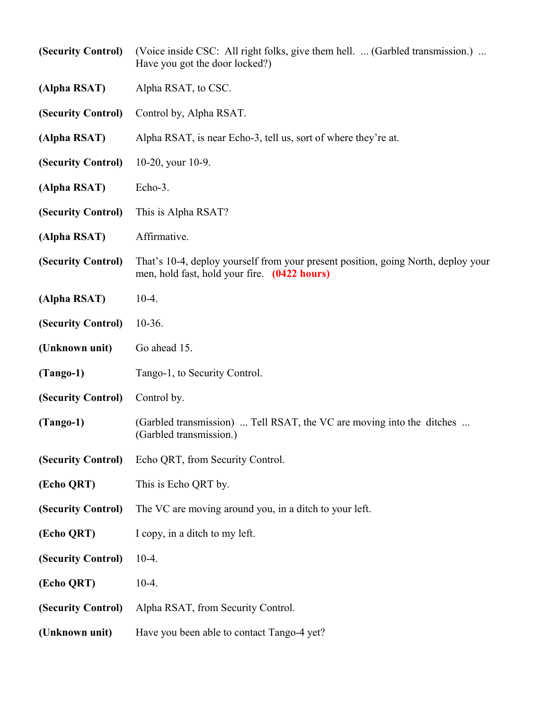| (Security Control) | (Voice inside CSC: All right folks, give them hell.  (Garbled transmission.)<br>Have you got the door locked?)                    |
|--------------------|-----------------------------------------------------------------------------------------------------------------------------------|
| (Alpha RSAT)       | Alpha RSAT, to CSC.                                                                                                               |
| (Security Control) | Control by, Alpha RSAT.                                                                                                           |
| (Alpha RSAT)       | Alpha RSAT, is near Echo-3, tell us, sort of where they're at.                                                                    |
| (Security Control) | 10-20, your 10-9.                                                                                                                 |
| (Alpha RSAT)       | Echo-3.                                                                                                                           |
| (Security Control) | This is Alpha RSAT?                                                                                                               |
| (Alpha RSAT)       | Affirmative.                                                                                                                      |
| (Security Control) | That's 10-4, deploy yourself from your present position, going North, deploy your<br>men, hold fast, hold your fire. (0422 hours) |
| (Alpha RSAT)       | $10-4.$                                                                                                                           |
| (Security Control) | $10-36.$                                                                                                                          |
| (Unknown unit)     | Go ahead 15.                                                                                                                      |
| $(Tango-1)$        | Tango-1, to Security Control.                                                                                                     |
| (Security Control) | Control by.                                                                                                                       |
| $(Tango-1)$        | (Garbled transmission)  Tell RSAT, the VC are moving into the ditches<br>(Garbled transmission.)                                  |
| (Security Control) | Echo QRT, from Security Control.                                                                                                  |
| (Echo QRT)         | This is Echo QRT by.                                                                                                              |
| (Security Control) | The VC are moving around you, in a ditch to your left.                                                                            |
| (Echo QRT)         | I copy, in a ditch to my left.                                                                                                    |
| (Security Control) | $10-4.$                                                                                                                           |
| (Echo QRT)         | $10-4.$                                                                                                                           |
| (Security Control) | Alpha RSAT, from Security Control.                                                                                                |
| (Unknown unit)     | Have you been able to contact Tango-4 yet?                                                                                        |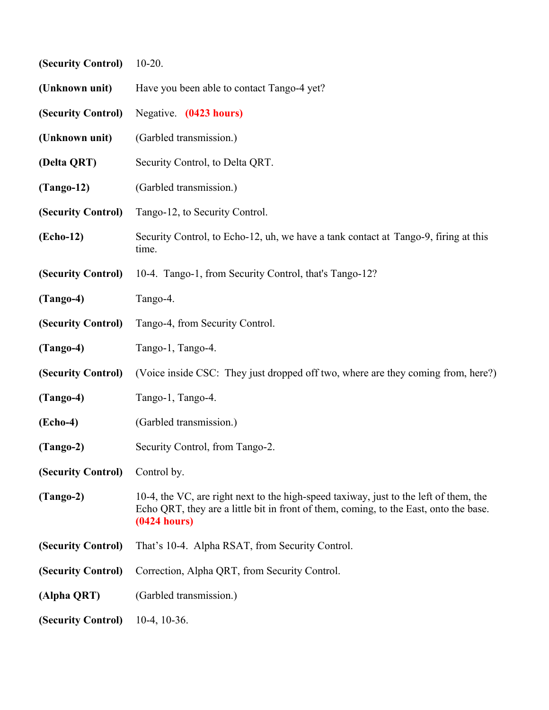| (Security Control) | $10-20.$                                                                                                                                                                                       |
|--------------------|------------------------------------------------------------------------------------------------------------------------------------------------------------------------------------------------|
| (Unknown unit)     | Have you been able to contact Tango-4 yet?                                                                                                                                                     |
| (Security Control) | Negative. (0423 hours)                                                                                                                                                                         |
| (Unknown unit)     | (Garbled transmission.)                                                                                                                                                                        |
| (Delta QRT)        | Security Control, to Delta QRT.                                                                                                                                                                |
| $(Tango-12)$       | (Garbled transmission.)                                                                                                                                                                        |
| (Security Control) | Tango-12, to Security Control.                                                                                                                                                                 |
| (Echo-12)          | Security Control, to Echo-12, uh, we have a tank contact at Tango-9, firing at this<br>time.                                                                                                   |
| (Security Control) | 10-4. Tango-1, from Security Control, that's Tango-12?                                                                                                                                         |
| $(Tango-4)$        | Tango-4.                                                                                                                                                                                       |
| (Security Control) | Tango-4, from Security Control.                                                                                                                                                                |
| $(Tango-4)$        | Tango-1, Tango-4.                                                                                                                                                                              |
| (Security Control) | (Voice inside CSC: They just dropped off two, where are they coming from, here?)                                                                                                               |
| $(Tango-4)$        | Tango-1, Tango-4.                                                                                                                                                                              |
| $( \nEcho-4)$      | (Garbled transmission.)                                                                                                                                                                        |
| $(Tango-2)$        | Security Control, from Tango-2.                                                                                                                                                                |
| (Security Control) | Control by.                                                                                                                                                                                    |
| $(Tango-2)$        | 10-4, the VC, are right next to the high-speed taxiway, just to the left of them, the<br>Echo QRT, they are a little bit in front of them, coming, to the East, onto the base.<br>(0424 hours) |
| (Security Control) | That's 10-4. Alpha RSAT, from Security Control.                                                                                                                                                |
| (Security Control) | Correction, Alpha QRT, from Security Control.                                                                                                                                                  |
| (Alpha QRT)        | (Garbled transmission.)                                                                                                                                                                        |
| (Security Control) | $10-4$ , $10-36$ .                                                                                                                                                                             |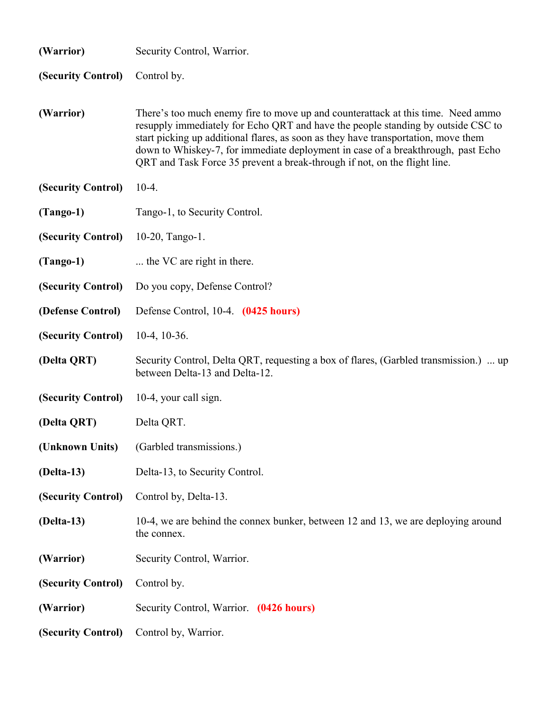| (Warrior)          | Security Control, Warrior.                                                                                                                                                                                                                                                                                                                                                                                                  |
|--------------------|-----------------------------------------------------------------------------------------------------------------------------------------------------------------------------------------------------------------------------------------------------------------------------------------------------------------------------------------------------------------------------------------------------------------------------|
| (Security Control) | Control by.                                                                                                                                                                                                                                                                                                                                                                                                                 |
| (Warrior)          | There's too much enemy fire to move up and counterattack at this time. Need ammo<br>resupply immediately for Echo QRT and have the people standing by outside CSC to<br>start picking up additional flares, as soon as they have transportation, move them<br>down to Whiskey-7, for immediate deployment in case of a breakthrough, past Echo<br>QRT and Task Force 35 prevent a break-through if not, on the flight line. |
| (Security Control) | $10-4.$                                                                                                                                                                                                                                                                                                                                                                                                                     |
| $(Tango-1)$        | Tango-1, to Security Control.                                                                                                                                                                                                                                                                                                                                                                                               |
| (Security Control) | $10-20$ , Tango-1.                                                                                                                                                                                                                                                                                                                                                                                                          |
| $(Tango-1)$        | the VC are right in there.                                                                                                                                                                                                                                                                                                                                                                                                  |
| (Security Control) | Do you copy, Defense Control?                                                                                                                                                                                                                                                                                                                                                                                               |
| (Defense Control)  | Defense Control, 10-4. (0425 hours)                                                                                                                                                                                                                                                                                                                                                                                         |
| (Security Control) | $10-4$ , $10-36$ .                                                                                                                                                                                                                                                                                                                                                                                                          |
| (Delta QRT)        | Security Control, Delta QRT, requesting a box of flares, (Garbled transmission.)  up<br>between Delta-13 and Delta-12.                                                                                                                                                                                                                                                                                                      |
| (Security Control) | 10-4, your call sign.                                                                                                                                                                                                                                                                                                                                                                                                       |
| (Delta QRT)        | Delta QRT.                                                                                                                                                                                                                                                                                                                                                                                                                  |
|                    | (Unknown Units) (Garbled transmissions.)                                                                                                                                                                                                                                                                                                                                                                                    |
| $(Delta-13)$       | Delta-13, to Security Control.                                                                                                                                                                                                                                                                                                                                                                                              |
| (Security Control) | Control by, Delta-13.                                                                                                                                                                                                                                                                                                                                                                                                       |
| $(Delta-13)$       | 10-4, we are behind the connex bunker, between 12 and 13, we are deploying around<br>the connex.                                                                                                                                                                                                                                                                                                                            |
| (Warrior)          | Security Control, Warrior.                                                                                                                                                                                                                                                                                                                                                                                                  |
| (Security Control) | Control by.                                                                                                                                                                                                                                                                                                                                                                                                                 |
| (Warrior)          | Security Control, Warrior. (0426 hours)                                                                                                                                                                                                                                                                                                                                                                                     |
| (Security Control) | Control by, Warrior.                                                                                                                                                                                                                                                                                                                                                                                                        |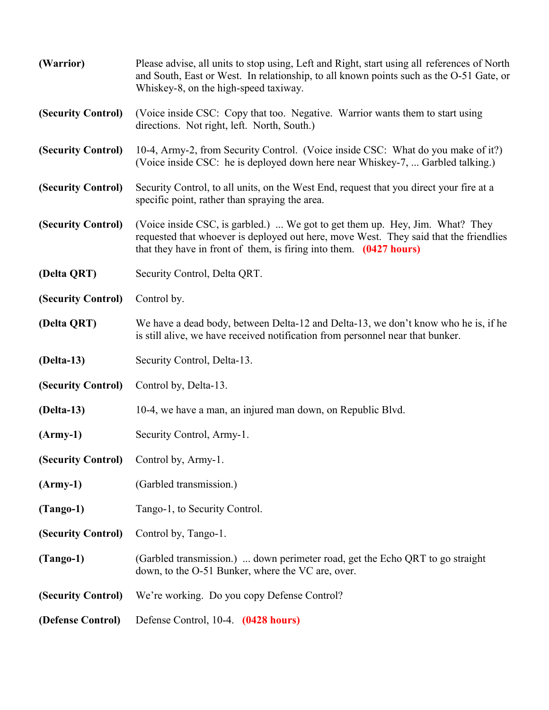| (Warrior)          | Please advise, all units to stop using, Left and Right, start using all references of North<br>and South, East or West. In relationship, to all known points such as the O-51 Gate, or<br>Whiskey-8, on the high-speed taxiway.               |
|--------------------|-----------------------------------------------------------------------------------------------------------------------------------------------------------------------------------------------------------------------------------------------|
| (Security Control) | (Voice inside CSC: Copy that too. Negative. Warrior wants them to start using<br>directions. Not right, left. North, South.)                                                                                                                  |
| (Security Control) | 10-4, Army-2, from Security Control. (Voice inside CSC: What do you make of it?)<br>(Voice inside CSC: he is deployed down here near Whiskey-7,  Garbled talking.)                                                                            |
| (Security Control) | Security Control, to all units, on the West End, request that you direct your fire at a<br>specific point, rather than spraying the area.                                                                                                     |
| (Security Control) | (Voice inside CSC, is garbled.)  We got to get them up. Hey, Jim. What? They<br>requested that whoever is deployed out here, move West. They said that the friendlies<br>that they have in front of them, is firing into them. $(0427$ hours) |
| (Delta QRT)        | Security Control, Delta QRT.                                                                                                                                                                                                                  |
| (Security Control) | Control by.                                                                                                                                                                                                                                   |
| (Delta QRT)        | We have a dead body, between Delta-12 and Delta-13, we don't know who he is, if he<br>is still alive, we have received notification from personnel near that bunker.                                                                          |
| $(Delta-13)$       | Security Control, Delta-13.                                                                                                                                                                                                                   |
| (Security Control) | Control by, Delta-13.                                                                                                                                                                                                                         |
| $(Delta-13)$       | 10-4, we have a man, an injured man down, on Republic Blvd.                                                                                                                                                                                   |
| $(Arm-y-1)$        | Security Control, Army-1.                                                                                                                                                                                                                     |
|                    | (Security Control) Control by, Army-1.                                                                                                                                                                                                        |
| $(Arm-y-1)$        | (Garbled transmission.)                                                                                                                                                                                                                       |
| $(Tango-1)$        | Tango-1, to Security Control.                                                                                                                                                                                                                 |
| (Security Control) | Control by, Tango-1.                                                                                                                                                                                                                          |
| $(Tango-1)$        | (Garbled transmission.)  down perimeter road, get the Echo QRT to go straight<br>down, to the O-51 Bunker, where the VC are, over.                                                                                                            |
| (Security Control) | We're working. Do you copy Defense Control?                                                                                                                                                                                                   |
| (Defense Control)  | Defense Control, 10-4. (0428 hours)                                                                                                                                                                                                           |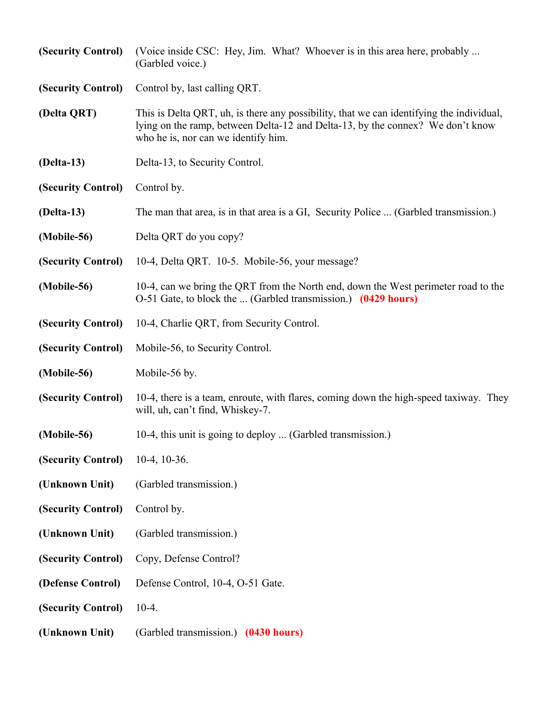| (Security Control) | (Voice inside CSC: Hey, Jim. What? Whoever is in this area here, probably<br>(Garbled voice.)                                                                                                                     |
|--------------------|-------------------------------------------------------------------------------------------------------------------------------------------------------------------------------------------------------------------|
| (Security Control) | Control by, last calling QRT.                                                                                                                                                                                     |
| (Delta QRT)        | This is Delta QRT, uh, is there any possibility, that we can identifying the individual,<br>lying on the ramp, between Delta-12 and Delta-13, by the connex? We don't know<br>who he is, nor can we identify him. |
| $(Delta-13)$       | Delta-13, to Security Control.                                                                                                                                                                                    |
| (Security Control) | Control by.                                                                                                                                                                                                       |
| $(Delta-13)$       | The man that area, is in that area is a GI, Security Police  (Garbled transmission.)                                                                                                                              |
| (Mobile-56)        | Delta QRT do you copy?                                                                                                                                                                                            |
| (Security Control) | 10-4, Delta QRT. 10-5. Mobile-56, your message?                                                                                                                                                                   |
| (Mobile-56)        | 10-4, can we bring the QRT from the North end, down the West perimeter road to the<br>O-51 Gate, to block the  (Garbled transmission.) (0429 hours)                                                               |
| (Security Control) | 10-4, Charlie QRT, from Security Control.                                                                                                                                                                         |
| (Security Control) | Mobile-56, to Security Control.                                                                                                                                                                                   |
| (Mobile-56)        | Mobile-56 by.                                                                                                                                                                                                     |
| (Security Control) | 10-4, there is a team, enroute, with flares, coming down the high-speed taxiway. They<br>will, uh, can't find, Whiskey-7.                                                                                         |
| (Mobile-56)        | 10-4, this unit is going to deploy  (Garbled transmission.)                                                                                                                                                       |
| (Security Control) | $10-4$ , $10-36$ .                                                                                                                                                                                                |
| (Unknown Unit)     | (Garbled transmission.)                                                                                                                                                                                           |
| (Security Control) | Control by.                                                                                                                                                                                                       |
| (Unknown Unit)     | (Garbled transmission.)                                                                                                                                                                                           |
| (Security Control) | Copy, Defense Control?                                                                                                                                                                                            |
| (Defense Control)  | Defense Control, 10-4, O-51 Gate.                                                                                                                                                                                 |
| (Security Control) | $10-4.$                                                                                                                                                                                                           |
| (Unknown Unit)     | (Garbled transmission.) (0430 hours)                                                                                                                                                                              |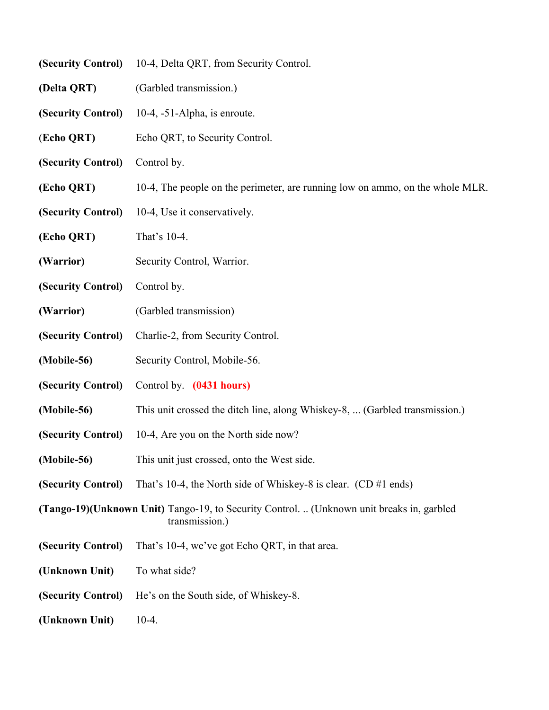| (Security Control)                                                                                                  | 10-4, Delta QRT, from Security Control.                                       |
|---------------------------------------------------------------------------------------------------------------------|-------------------------------------------------------------------------------|
| (Delta QRT)                                                                                                         | (Garbled transmission.)                                                       |
| (Security Control)                                                                                                  | 10-4, -51-Alpha, is enroute.                                                  |
| (Echo QRT)                                                                                                          | Echo QRT, to Security Control.                                                |
| (Security Control)                                                                                                  | Control by.                                                                   |
| (Echo QRT)                                                                                                          | 10-4, The people on the perimeter, are running low on ammo, on the whole MLR. |
| (Security Control)                                                                                                  | 10-4, Use it conservatively.                                                  |
| (Echo QRT)                                                                                                          | That's 10-4.                                                                  |
| (Warrior)                                                                                                           | Security Control, Warrior.                                                    |
| (Security Control)                                                                                                  | Control by.                                                                   |
| (Warrior)                                                                                                           | (Garbled transmission)                                                        |
| (Security Control)                                                                                                  | Charlie-2, from Security Control.                                             |
| (Mobile-56)                                                                                                         | Security Control, Mobile-56.                                                  |
| (Security Control)                                                                                                  | Control by. (0431 hours)                                                      |
| (Mobile-56)                                                                                                         | This unit crossed the ditch line, along Whiskey-8,  (Garbled transmission.)   |
| (Security Control)                                                                                                  | 10-4, Are you on the North side now?                                          |
| (Mobile-56)                                                                                                         | This unit just crossed, onto the West side.                                   |
| (Security Control)                                                                                                  | That's 10-4, the North side of Whiskey-8 is clear. $(CD \# 1 \text{ ends})$   |
| <b>(Tango-19) (Unknown Unit)</b> Tango-19, to Security Control.  (Unknown unit breaks in, garbled<br>transmission.) |                                                                               |
| (Security Control)                                                                                                  | That's 10-4, we've got Echo QRT, in that area.                                |
| (Unknown Unit)                                                                                                      | To what side?                                                                 |
| (Security Control)                                                                                                  | He's on the South side, of Whiskey-8.                                         |
| (Unknown Unit)                                                                                                      | $10-4.$                                                                       |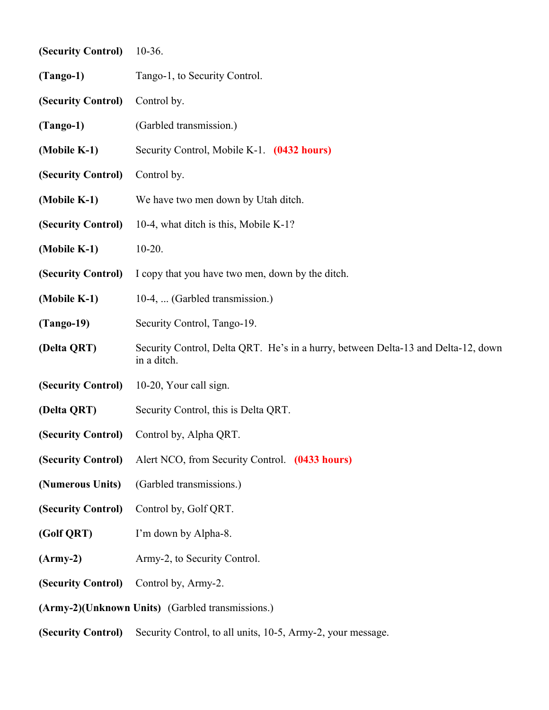| (Security Control) | $10-36.$                                                                                         |
|--------------------|--------------------------------------------------------------------------------------------------|
| $(Tango-1)$        | Tango-1, to Security Control.                                                                    |
| (Security Control) | Control by.                                                                                      |
| $(Tango-1)$        | (Garbled transmission.)                                                                          |
| (Mobile K-1)       | Security Control, Mobile K-1. (0432 hours)                                                       |
| (Security Control) | Control by.                                                                                      |
| (Mobile K-1)       | We have two men down by Utah ditch.                                                              |
| (Security Control) | 10-4, what ditch is this, Mobile K-1?                                                            |
| (Mobile K-1)       | $10-20.$                                                                                         |
| (Security Control) | I copy that you have two men, down by the ditch.                                                 |
| (Mobile K-1)       | 10-4,  (Garbled transmission.)                                                                   |
| $(Tango-19)$       | Security Control, Tango-19.                                                                      |
| (Delta QRT)        | Security Control, Delta QRT. He's in a hurry, between Delta-13 and Delta-12, down<br>in a ditch. |
| (Security Control) | 10-20, Your call sign.                                                                           |
| (Delta QRT)        | Security Control, this is Delta QRT.                                                             |
| (Security Control) | Control by, Alpha QRT.                                                                           |
| (Security Control) | Alert NCO, from Security Control. (0433 hours)                                                   |
| (Numerous Units)   | (Garbled transmissions.)                                                                         |
| (Security Control) | Control by, Golf QRT.                                                                            |
| (Golf QRT)         | I'm down by Alpha-8.                                                                             |
| $(Army-2)$         | Army-2, to Security Control.                                                                     |
| (Security Control) | Control by, Army-2.                                                                              |
|                    | (Army-2)(Unknown Units) (Garbled transmissions.)                                                 |
| (Security Control) | Security Control, to all units, 10-5, Army-2, your message.                                      |
|                    |                                                                                                  |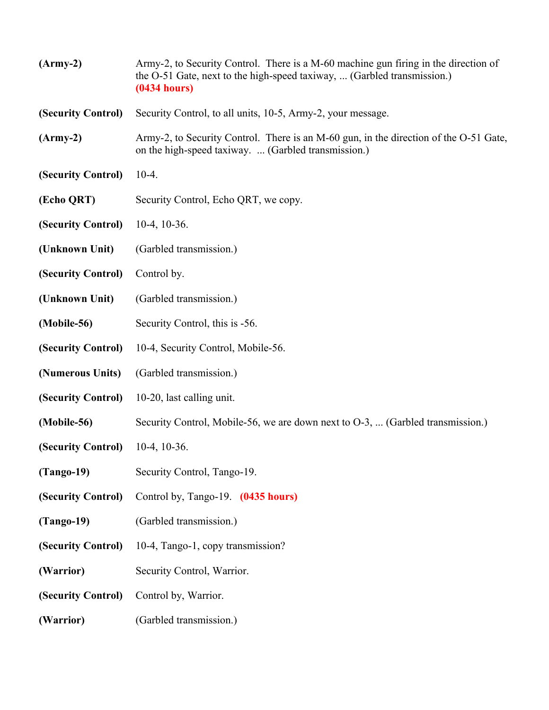| $(Arm-y-2)$        | Army-2, to Security Control. There is a M-60 machine gun firing in the direction of<br>the O-51 Gate, next to the high-speed taxiway,  (Garbled transmission.)<br>(0434 hours) |
|--------------------|--------------------------------------------------------------------------------------------------------------------------------------------------------------------------------|
| (Security Control) | Security Control, to all units, 10-5, Army-2, your message.                                                                                                                    |
| $(Arm-y-2)$        | Army-2, to Security Control. There is an M-60 gun, in the direction of the O-51 Gate,<br>on the high-speed taxiway.  (Garbled transmission.)                                   |
| (Security Control) | $10-4.$                                                                                                                                                                        |
| (Echo QRT)         | Security Control, Echo QRT, we copy.                                                                                                                                           |
| (Security Control) | $10-4$ , $10-36$ .                                                                                                                                                             |
| (Unknown Unit)     | (Garbled transmission.)                                                                                                                                                        |
| (Security Control) | Control by.                                                                                                                                                                    |
| (Unknown Unit)     | (Garbled transmission.)                                                                                                                                                        |
| (Mobile-56)        | Security Control, this is -56.                                                                                                                                                 |
| (Security Control) | 10-4, Security Control, Mobile-56.                                                                                                                                             |
| (Numerous Units)   | (Garbled transmission.)                                                                                                                                                        |
| (Security Control) | 10-20, last calling unit.                                                                                                                                                      |
| (Mobile-56)        | Security Control, Mobile-56, we are down next to O-3,  (Garbled transmission.)                                                                                                 |
| (Security Control) | $10-4$ , $10-36$ .                                                                                                                                                             |
| $(Tango-19)$       | Security Control, Tango-19.                                                                                                                                                    |
| (Security Control) | Control by, Tango-19. (0435 hours)                                                                                                                                             |
| $(Tango-19)$       | (Garbled transmission.)                                                                                                                                                        |
| (Security Control) | 10-4, Tango-1, copy transmission?                                                                                                                                              |
| (Warrior)          | Security Control, Warrior.                                                                                                                                                     |
| (Security Control) | Control by, Warrior.                                                                                                                                                           |
| (Warrior)          | (Garbled transmission.)                                                                                                                                                        |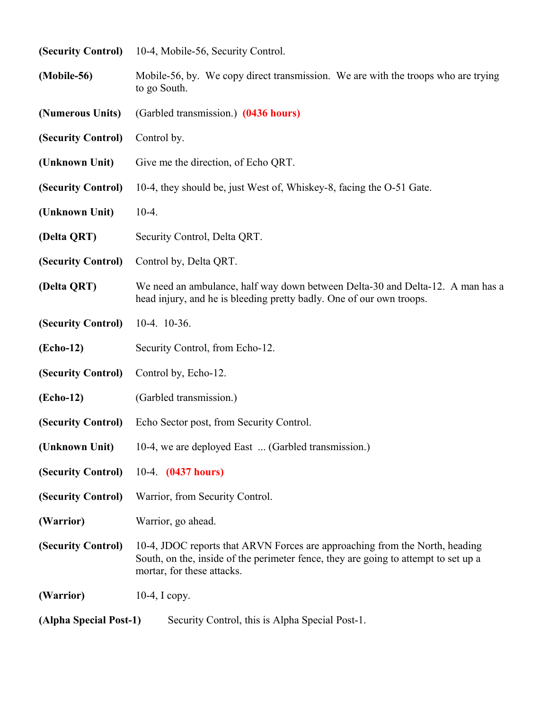| (Security Control)     | 10-4, Mobile-56, Security Control.                                                                                                                                                               |
|------------------------|--------------------------------------------------------------------------------------------------------------------------------------------------------------------------------------------------|
| (Mobile-56)            | Mobile-56, by. We copy direct transmission. We are with the troops who are trying<br>to go South.                                                                                                |
| (Numerous Units)       | (Garbled transmission.) (0436 hours)                                                                                                                                                             |
| (Security Control)     | Control by.                                                                                                                                                                                      |
| (Unknown Unit)         | Give me the direction, of Echo QRT.                                                                                                                                                              |
| (Security Control)     | 10-4, they should be, just West of, Whiskey-8, facing the O-51 Gate.                                                                                                                             |
| (Unknown Unit)         | $10-4.$                                                                                                                                                                                          |
| (Delta QRT)            | Security Control, Delta QRT.                                                                                                                                                                     |
| (Security Control)     | Control by, Delta QRT.                                                                                                                                                                           |
| (Delta QRT)            | We need an ambulance, half way down between Delta-30 and Delta-12. A man has a<br>head injury, and he is bleeding pretty badly. One of our own troops.                                           |
| (Security Control)     | $10-4. 10-36.$                                                                                                                                                                                   |
| (Echo-12)              | Security Control, from Echo-12.                                                                                                                                                                  |
| (Security Control)     | Control by, Echo-12.                                                                                                                                                                             |
| (Echo-12)              | (Garbled transmission.)                                                                                                                                                                          |
| (Security Control)     | Echo Sector post, from Security Control.                                                                                                                                                         |
| (Unknown Unit)         | 10-4, we are deployed East  (Garbled transmission.)                                                                                                                                              |
| (Security Control)     | 10-4. (0437 hours)                                                                                                                                                                               |
| (Security Control)     | Warrior, from Security Control.                                                                                                                                                                  |
| (Warrior)              | Warrior, go ahead.                                                                                                                                                                               |
| (Security Control)     | 10-4, JDOC reports that ARVN Forces are approaching from the North, heading<br>South, on the, inside of the perimeter fence, they are going to attempt to set up a<br>mortar, for these attacks. |
| (Warrior)              | $10-4$ , I copy.                                                                                                                                                                                 |
| (Alpha Special Post-1) | Security Control, this is Alpha Special Post-1.                                                                                                                                                  |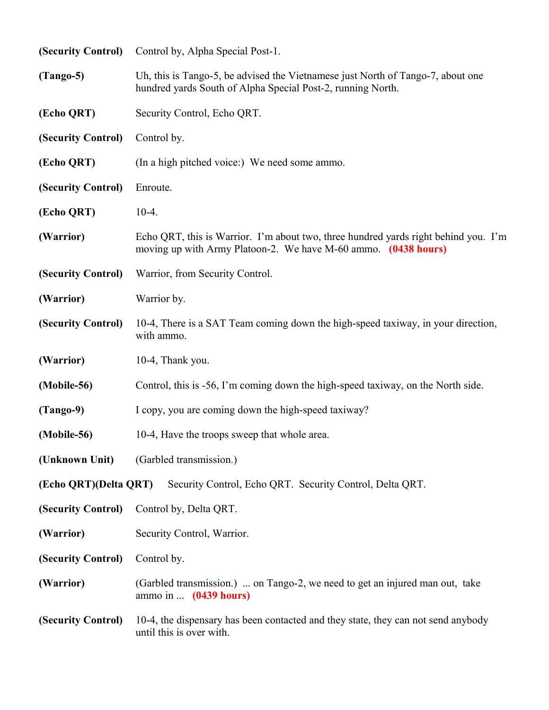| (Security Control)    | Control by, Alpha Special Post-1.                                                                                                                     |  |
|-----------------------|-------------------------------------------------------------------------------------------------------------------------------------------------------|--|
| $(Tango-5)$           | Uh, this is Tango-5, be advised the Vietnamese just North of Tango-7, about one<br>hundred yards South of Alpha Special Post-2, running North.        |  |
| (Echo QRT)            | Security Control, Echo QRT.                                                                                                                           |  |
| (Security Control)    | Control by.                                                                                                                                           |  |
| (Echo QRT)            | (In a high pitched voice:) We need some ammo.                                                                                                         |  |
| (Security Control)    | Enroute.                                                                                                                                              |  |
| (Echo QRT)            | $10-4.$                                                                                                                                               |  |
| (Warrior)             | Echo QRT, this is Warrior. I'm about two, three hundred yards right behind you. I'm<br>moving up with Army Platoon-2. We have M-60 ammo. (0438 hours) |  |
| (Security Control)    | Warrior, from Security Control.                                                                                                                       |  |
| (Warrior)             | Warrior by.                                                                                                                                           |  |
| (Security Control)    | 10-4, There is a SAT Team coming down the high-speed taxiway, in your direction,<br>with ammo.                                                        |  |
| (Warrior)             | 10-4, Thank you.                                                                                                                                      |  |
| (Mobile-56)           | Control, this is -56, I'm coming down the high-speed taxiway, on the North side.                                                                      |  |
| $(Tango-9)$           | I copy, you are coming down the high-speed taxiway?                                                                                                   |  |
| (Mobile-56)           | 10-4, Have the troops sweep that whole area.                                                                                                          |  |
| (Unknown Unit)        | (Garbled transmission.)                                                                                                                               |  |
| (Echo QRT)(Delta QRT) | Security Control, Echo QRT. Security Control, Delta QRT.                                                                                              |  |
| (Security Control)    | Control by, Delta QRT.                                                                                                                                |  |
| (Warrior)             | Security Control, Warrior.                                                                                                                            |  |
| (Security Control)    | Control by.                                                                                                                                           |  |
| (Warrior)             | (Garbled transmission.)  on Tango-2, we need to get an injured man out, take<br>ammo in $(0439$ hours)                                                |  |
| (Security Control)    | 10-4, the dispensary has been contacted and they state, they can not send anybody<br>until this is over with.                                         |  |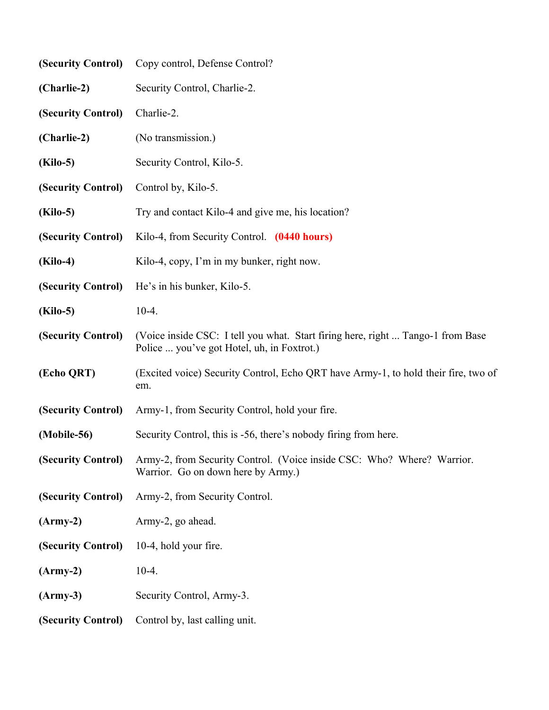| (Security Control) | Copy control, Defense Control?                                                                                                  |  |
|--------------------|---------------------------------------------------------------------------------------------------------------------------------|--|
| (Charlie-2)        | Security Control, Charlie-2.                                                                                                    |  |
| (Security Control) | Charlie-2.                                                                                                                      |  |
| (Charlie-2)        | (No transmission.)                                                                                                              |  |
| <b>(Kilo-5)</b>    | Security Control, Kilo-5.                                                                                                       |  |
| (Security Control) | Control by, Kilo-5.                                                                                                             |  |
| <b>(Kilo-5)</b>    | Try and contact Kilo-4 and give me, his location?                                                                               |  |
| (Security Control) | Kilo-4, from Security Control. (0440 hours)                                                                                     |  |
| (Kilo-4)           | Kilo-4, copy, I'm in my bunker, right now.                                                                                      |  |
| (Security Control) | He's in his bunker, Kilo-5.                                                                                                     |  |
| <b>(Kilo-5)</b>    | $10-4.$                                                                                                                         |  |
| (Security Control) | (Voice inside CSC: I tell you what. Start firing here, right  Tango-1 from Base<br>Police  you've got Hotel, uh, in Foxtrot.)   |  |
| (Echo QRT)         | (Excited voice) Security Control, Echo QRT have Army-1, to hold their fire, two of<br>em.                                       |  |
| (Security Control) | Army-1, from Security Control, hold your fire.                                                                                  |  |
| (Mobile-56)        | Security Control, this is -56, there's nobody firing from here.                                                                 |  |
|                    | (Security Control) Army-2, from Security Control. (Voice inside CSC: Who? Where? Warrior.<br>Warrior. Go on down here by Army.) |  |
| (Security Control) | Army-2, from Security Control.                                                                                                  |  |
| $(Arm-y-2)$        | Army-2, go ahead.                                                                                                               |  |
| (Security Control) | 10-4, hold your fire.                                                                                                           |  |
| $(Army-2)$         | $10-4.$                                                                                                                         |  |
| $(Army-3)$         | Security Control, Army-3.                                                                                                       |  |
| (Security Control) | Control by, last calling unit.                                                                                                  |  |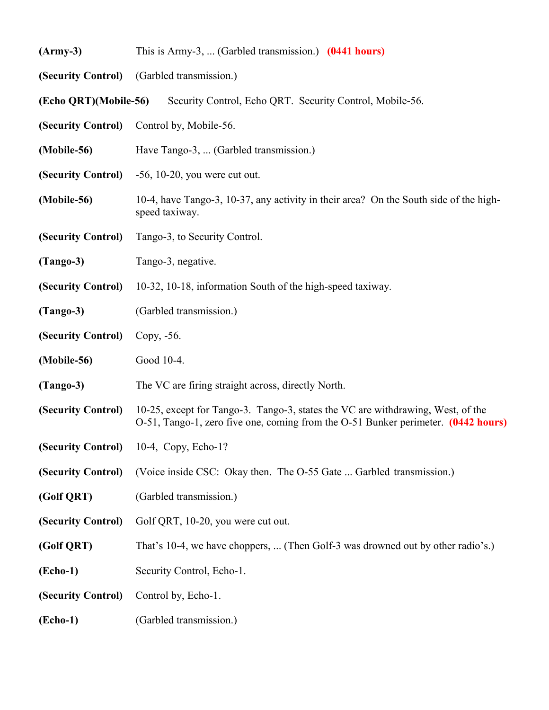| $(Army-3)$            | This is Army-3,  (Garbled transmission.) $(0441$ hours)                                                                                                              |  |
|-----------------------|----------------------------------------------------------------------------------------------------------------------------------------------------------------------|--|
|                       | (Security Control) (Garbled transmission.)                                                                                                                           |  |
| (Echo QRT)(Mobile-56) | Security Control, Echo QRT. Security Control, Mobile-56.                                                                                                             |  |
| (Security Control)    | Control by, Mobile-56.                                                                                                                                               |  |
| (Mobile-56)           | Have Tango-3,  (Garbled transmission.)                                                                                                                               |  |
| (Security Control)    | $-56$ , 10 $-20$ , you were cut out.                                                                                                                                 |  |
| (Mobile-56)           | 10-4, have Tango-3, 10-37, any activity in their area? On the South side of the high-<br>speed taxiway.                                                              |  |
| (Security Control)    | Tango-3, to Security Control.                                                                                                                                        |  |
| $(Tango-3)$           | Tango-3, negative.                                                                                                                                                   |  |
| (Security Control)    | 10-32, 10-18, information South of the high-speed taxiway.                                                                                                           |  |
| $(Tango-3)$           | (Garbled transmission.)                                                                                                                                              |  |
| (Security Control)    | Copy, -56.                                                                                                                                                           |  |
| (Mobile-56)           | Good 10-4.                                                                                                                                                           |  |
| $(Tango-3)$           | The VC are firing straight across, directly North.                                                                                                                   |  |
| (Security Control)    | 10-25, except for Tango-3. Tango-3, states the VC are withdrawing, West, of the<br>O-51, Tango-1, zero five one, coming from the O-51 Bunker perimeter. (0442 hours) |  |
|                       | (Security Control) 10-4, Copy, Echo-1?                                                                                                                               |  |
| (Security Control)    | (Voice inside CSC: Okay then. The O-55 Gate  Garbled transmission.)                                                                                                  |  |
| (Golf QRT)            | (Garbled transmission.)                                                                                                                                              |  |
| (Security Control)    | Golf QRT, 10-20, you were cut out.                                                                                                                                   |  |
| (Golf QRT)            | That's 10-4, we have choppers,  (Then Golf-3 was drowned out by other radio's.)                                                                                      |  |
| $( \mathbf{Echo-1} )$ | Security Control, Echo-1.                                                                                                                                            |  |
| (Security Control)    | Control by, Echo-1.                                                                                                                                                  |  |
| $( \mathbf{Echo-1} )$ | (Garbled transmission.)                                                                                                                                              |  |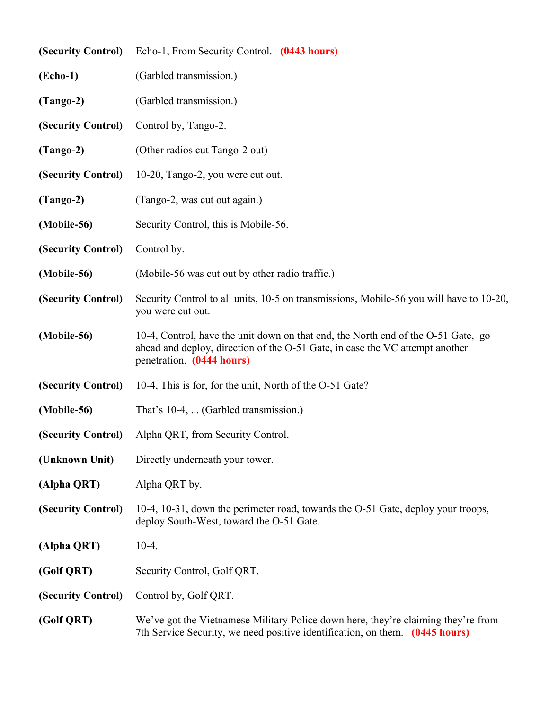|                    | (Security Control) Echo-1, From Security Control. (0443 hours)                                                                                                                                 |  |
|--------------------|------------------------------------------------------------------------------------------------------------------------------------------------------------------------------------------------|--|
| $(echo-1)$         | (Garbled transmission.)                                                                                                                                                                        |  |
| $(Tango-2)$        | (Garbled transmission.)                                                                                                                                                                        |  |
| (Security Control) | Control by, Tango-2.                                                                                                                                                                           |  |
| $(Tango-2)$        | (Other radios cut Tango-2 out)                                                                                                                                                                 |  |
| (Security Control) | 10-20, Tango-2, you were cut out.                                                                                                                                                              |  |
| $(Tango-2)$        | (Tango-2, was cut out again.)                                                                                                                                                                  |  |
| (Mobile-56)        | Security Control, this is Mobile-56.                                                                                                                                                           |  |
| (Security Control) | Control by.                                                                                                                                                                                    |  |
| (Mobile-56)        | (Mobile-56 was cut out by other radio traffic.)                                                                                                                                                |  |
| (Security Control) | Security Control to all units, 10-5 on transmissions, Mobile-56 you will have to 10-20,<br>you were cut out.                                                                                   |  |
| (Mobile-56)        | 10-4, Control, have the unit down on that end, the North end of the O-51 Gate, go<br>ahead and deploy, direction of the O-51 Gate, in case the VC attempt another<br>penetration. (0444 hours) |  |
| (Security Control) | 10-4, This is for, for the unit, North of the O-51 Gate?                                                                                                                                       |  |
| (Mobile-56)        | That's 10-4,  (Garbled transmission.)                                                                                                                                                          |  |
| (Security Control) | Alpha QRT, from Security Control.                                                                                                                                                              |  |
| (Unknown Unit)     | Directly underneath your tower.                                                                                                                                                                |  |
| (Alpha QRT)        | Alpha QRT by.                                                                                                                                                                                  |  |
| (Security Control) | 10-4, 10-31, down the perimeter road, towards the O-51 Gate, deploy your troops,<br>deploy South-West, toward the O-51 Gate.                                                                   |  |
| (Alpha QRT)        | $10-4.$                                                                                                                                                                                        |  |
| (Golf QRT)         | Security Control, Golf QRT.                                                                                                                                                                    |  |
| (Security Control) | Control by, Golf QRT.                                                                                                                                                                          |  |
| (Golf QRT)         | We've got the Vietnamese Military Police down here, they're claiming they're from<br>7th Service Security, we need positive identification, on them. (0445 hours)                              |  |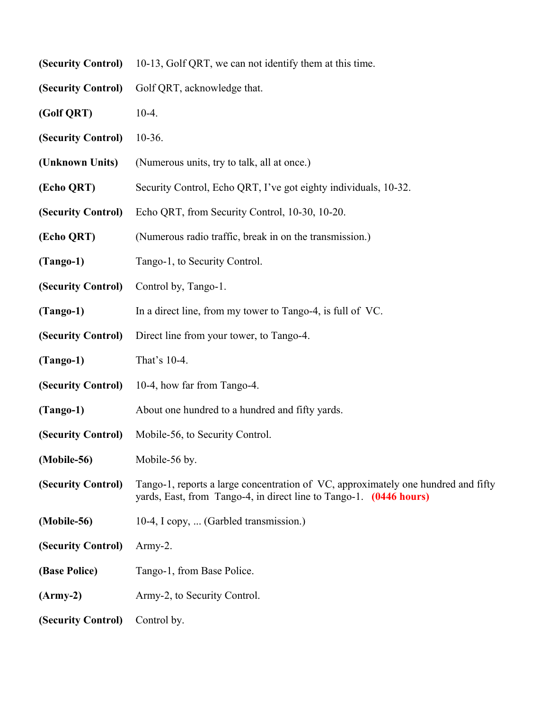| (Security Control) | 10-13, Golf QRT, we can not identify them at this time.                                                                                                 |  |
|--------------------|---------------------------------------------------------------------------------------------------------------------------------------------------------|--|
| (Security Control) | Golf QRT, acknowledge that.                                                                                                                             |  |
| (Golf QRT)         | $10-4.$                                                                                                                                                 |  |
| (Security Control) | $10-36.$                                                                                                                                                |  |
| (Unknown Units)    | (Numerous units, try to talk, all at once.)                                                                                                             |  |
| (Echo QRT)         | Security Control, Echo QRT, I've got eighty individuals, 10-32.                                                                                         |  |
| (Security Control) | Echo QRT, from Security Control, 10-30, 10-20.                                                                                                          |  |
| (Echo QRT)         | (Numerous radio traffic, break in on the transmission.)                                                                                                 |  |
| $(Tango-1)$        | Tango-1, to Security Control.                                                                                                                           |  |
| (Security Control) | Control by, Tango-1.                                                                                                                                    |  |
| $(Tango-1)$        | In a direct line, from my tower to Tango-4, is full of VC.                                                                                              |  |
| (Security Control) | Direct line from your tower, to Tango-4.                                                                                                                |  |
| $(Tango-1)$        | That's 10-4.                                                                                                                                            |  |
| (Security Control) | 10-4, how far from Tango-4.                                                                                                                             |  |
| $(Tango-1)$        | About one hundred to a hundred and fifty yards.                                                                                                         |  |
| (Security Control) | Mobile-56, to Security Control.                                                                                                                         |  |
| (Mobile-56)        | Mobile-56 by.                                                                                                                                           |  |
| (Security Control) | Tango-1, reports a large concentration of VC, approximately one hundred and fifty<br>yards, East, from Tango-4, in direct line to Tango-1. (0446 hours) |  |
| (Mobile-56)        | 10-4, I copy,  (Garbled transmission.)                                                                                                                  |  |
| (Security Control) | $Army-2.$                                                                                                                                               |  |
| (Base Police)      | Tango-1, from Base Police.                                                                                                                              |  |
| $(Arm-y-2)$        | Army-2, to Security Control.                                                                                                                            |  |
| (Security Control) | Control by.                                                                                                                                             |  |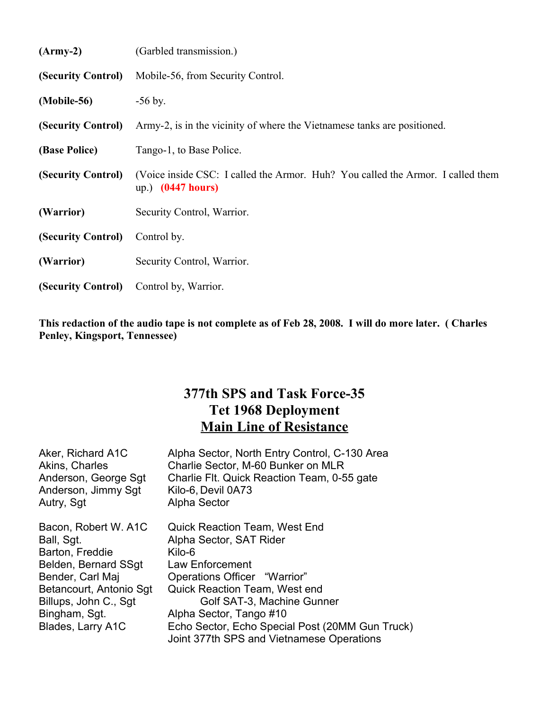| $(Army-2)$         | (Garbled transmission.)                                                                                |  |
|--------------------|--------------------------------------------------------------------------------------------------------|--|
| (Security Control) | Mobile-56, from Security Control.                                                                      |  |
| (Mobile-56)        | $-56$ by.                                                                                              |  |
| (Security Control) | Army-2, is in the vicinity of where the Vietnamese tanks are positioned.                               |  |
| (Base Police)      | Tango-1, to Base Police.                                                                               |  |
| (Security Control) | (Voice inside CSC: I called the Armor. Huh? You called the Armor. I called them<br>up.) $(0447 hours)$ |  |
| (Warrior)          | Security Control, Warrior.                                                                             |  |
| (Security Control) | Control by.                                                                                            |  |
| (Warrior)          | Security Control, Warrior.                                                                             |  |
| (Security Control) | Control by, Warrior.                                                                                   |  |

**This redaction of the audio tape is not complete as of Feb 28, 2008. I will do more later. ( Charles Penley, Kingsport, Tennessee)**

## **377th SPS and Task Force-35 Tet 1968 Deployment Main Line of Resistance**

| Aker, Richard A1C<br>Akins, Charles<br>Anderson, George Sgt<br>Anderson, Jimmy Sgt<br>Autry, Sgt                             | Alpha Sector, North Entry Control, C-130 Area<br>Charlie Sector, M-60 Bunker on MLR<br>Charlie Flt. Quick Reaction Team, 0-55 gate<br>Kilo-6, Devil 0A73<br><b>Alpha Sector</b> |
|------------------------------------------------------------------------------------------------------------------------------|---------------------------------------------------------------------------------------------------------------------------------------------------------------------------------|
| Bacon, Robert W. A1C<br>Ball, Sgt.<br>Barton, Freddie<br>Belden, Bernard SSgt<br>Bender, Carl Maj<br>Betancourt, Antonio Sgt | <b>Quick Reaction Team, West End</b><br>Alpha Sector, SAT Rider<br>Kilo-6<br>Law Enforcement<br>Operations Officer "Warrior"<br><b>Quick Reaction Team, West end</b>            |
| Billups, John C., Sgt                                                                                                        | Golf SAT-3, Machine Gunner                                                                                                                                                      |
| Bingham, Sgt.                                                                                                                | Alpha Sector, Tango #10                                                                                                                                                         |
| Blades, Larry A1C                                                                                                            | Echo Sector, Echo Special Post (20MM Gun Truck)<br>Joint 377th SPS and Vietnamese Operations                                                                                    |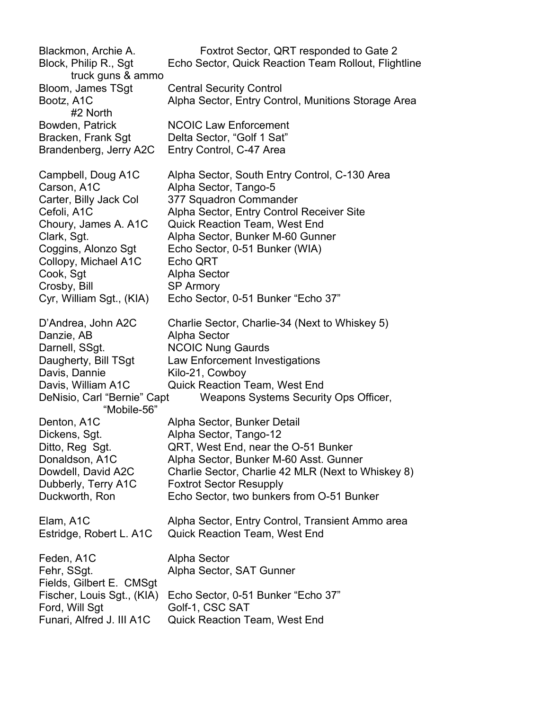Blackmon, Archie A. Foxtrot Sector, QRT responded to Gate 2 Block, Philip R., Sgt Echo Sector, Quick Reaction Team Rollout, Flightline truck guns & ammo Bloom, James TSgt Central Security Control Bootz, A1C Alpha Sector, Entry Control, Munitions Storage Area #2 North Bowden, Patrick NCOIC Law Enforcement Bracken, Frank Sgt Delta Sector, "Golf 1 Sat" Brandenberg, Jerry A2C Entry Control, C-47 Area Campbell, Doug A1C Alpha Sector, South Entry Control, C-130 Area Carson, A1C Alpha Sector, Tango-5 Carter, Billy Jack Col 377 Squadron Commander Cefoli, A1C Alpha Sector, Entry Control Receiver Site Choury, James A. A1C Quick Reaction Team, West End Clark, Sgt. Alpha Sector, Bunker M-60 Gunner Coggins, Alonzo Sgt Echo Sector, 0-51 Bunker (WIA) Collopy, Michael A1C Echo QRT Cook, Sgt Alpha Sector Crosby, Bill SP Armory Cyr, William Sgt., (KIA) Echo Sector, 0-51 Bunker "Echo 37" D'Andrea, John A2C Charlie Sector, Charlie-34 (Next to Whiskey 5) Danzie, AB Alpha Sector Darnell, SSgt. NCOIC Nung Gaurds Daugherty, Bill TSgt Law Enforcement Investigations Davis, Dannie Kilo-21, Cowboy Davis, William A1C Quick Reaction Team, West End DeNisio, Carl "Bernie" Capt Weapons Systems Security Ops Officer, "Mobile-56" Denton, A1C Alpha Sector, Bunker Detail Dickens, Sgt. **Alpha Sector, Tango-12** Ditto, Reg Sgt. QRT, West End, near the O-51 Bunker Donaldson, A1C Alpha Sector, Bunker M-60 Asst. Gunner Dowdell, David A2C Charlie Sector, Charlie 42 MLR (Next to Whiskey 8) Dubberly, Terry A1C Foxtrot Sector Resupply Duckworth, Ron Echo Sector, two bunkers from O-51 Bunker Elam, A1C Alpha Sector, Entry Control, Transient Ammo area Estridge, Robert L. A1C Quick Reaction Team, West End Feden, A1C Alpha Sector Fehr, SSgt. **Alpha Sector, SAT Gunner** Fields, Gilbert E. CMSgt Fischer, Louis Sgt., (KIA) Echo Sector, 0-51 Bunker "Echo 37" Ford, Will Sqt Golf-1, CSC SAT Funari, Alfred J. III A1C Quick Reaction Team, West End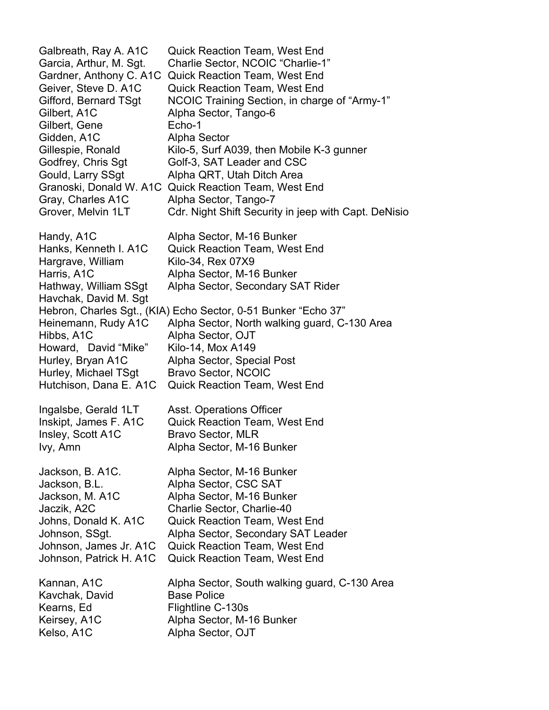Galbreath, Ray A. A1C Quick Reaction Team, West End Garcia, Arthur, M. Sgt. Charlie Sector, NCOIC "Charlie-1" Gardner, Anthony C. A1C Quick Reaction Team, West End Geiver, Steve D. A1C Quick Reaction Team, West End Gifford, Bernard TSgt NCOIC Training Section, in charge of "Army-1" Gilbert, A1C Alpha Sector, Tango-6 Gilbert, Gene **Echo-1** Gidden, A1C Alpha Sector Gillespie, Ronald Kilo-5, Surf A039, then Mobile K-3 gunner Godfrey, Chris Sqt Golf-3, SAT Leader and CSC Gould, Larry SSqt Alpha QRT, Utah Ditch Area Granoski, Donald W. A1C Quick Reaction Team, West End Gray, Charles A1C Alpha Sector, Tango-7 Grover, Melvin 1LT Cdr. Night Shift Security in jeep with Capt. DeNisio Handy, A1C Alpha Sector, M-16 Bunker Hanks, Kenneth I. A1C Quick Reaction Team, West End Hargrave, William Kilo-34, Rex 07X9 Harris, A1C Alpha Sector, M-16 Bunker Hathway, William SSgt Alpha Sector, Secondary SAT Rider Havchak, David M. Sgt Hebron, Charles Sgt., (KIA) Echo Sector, 0-51 Bunker "Echo 37" Heinemann, Rudy A1C Alpha Sector, North walking guard, C-130 Area Hibbs, A1C Alpha Sector, OJT Howard, David "Mike" Kilo-14, Mox A149 Hurley, Bryan A1C Alpha Sector, Special Post Hurley, Michael TSgt Bravo Sector, NCOIC Hutchison, Dana E. A1C Quick Reaction Team, West End Ingalsbe, Gerald 1LT Asst. Operations Officer Inskipt, James F. A1C Quick Reaction Team, West End Insley, Scott A1C Bravo Sector, MLR Ivy, Amn Alpha Sector, M-16 Bunker Jackson, B. A1C. Alpha Sector, M-16 Bunker Jackson, B.L. Alpha Sector, CSC SAT Jackson, M. A1C Alpha Sector, M-16 Bunker Jaczik, A2C Charlie Sector, Charlie-40 Johns, Donald K. A1C Quick Reaction Team, West End Johnson, SSgt. Alpha Sector, Secondary SAT Leader Johnson, James Jr. A1C Quick Reaction Team, West End Johnson, Patrick H. A1C Quick Reaction Team, West End Kannan, A1C Alpha Sector, South walking guard, C-130 Area Kavchak, David Base Police Kearns, Ed Flightline C-130s Keirsey, A1C Alpha Sector, M-16 Bunker Kelso, A1C Alpha Sector, OJT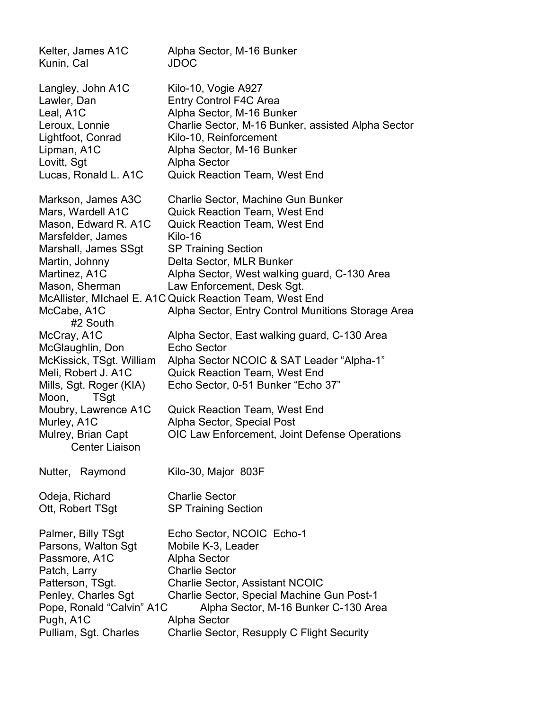Kelter, James A1C Alpha Sector, M-16 Bunker Kunin, Cal JDOC Langley, John A1C Kilo-10, Vogie A927 Lawler, Dan **Entry Control F4C Area** Leal, A1C Alpha Sector, M-16 Bunker Leroux, Lonnie Charlie Sector, M-16 Bunker, assisted Alpha Sector Lightfoot, Conrad Kilo-10, Reinforcement Lipman, A1C Alpha Sector, M-16 Bunker Lovitt, Sgt Alpha Sector Lucas, Ronald L. A1C Quick Reaction Team, West End Markson, James A3C Charlie Sector, Machine Gun Bunker Mars, Wardell A1C Quick Reaction Team, West End Mason, Edward R. A1C Quick Reaction Team, West End Marsfelder, James Kilo-16 Marshall, James SSgt SP Training Section Martin, Johnny Delta Sector, MLR Bunker Martinez, A1C Alpha Sector, West walking guard, C-130 Area Mason, Sherman Law Enforcement, Desk Sgt. McAllister, MIchael E. A1C Quick Reaction Team, West End McCabe, A1C Alpha Sector, Entry Control Munitions Storage Area #2 South McCray, A1C Alpha Sector, East walking guard, C-130 Area McGlaughlin, Don Echo Sector McKissick, TSgt. William Alpha Sector NCOIC & SAT Leader "Alpha-1" Meli, Robert J. A1C Quick Reaction Team, West End Mills, Sgt. Roger (KIA) Echo Sector, 0-51 Bunker "Echo 37" Moon, TSgt Moubry, Lawrence A1C Quick Reaction Team, West End Murley, A1C Alpha Sector, Special Post Mulrey, Brian Capt OIC Law Enforcement, Joint Defense Operations Center Liaison Nutter, Raymond Kilo-30, Major 803F Odeja, Richard Charlie Sector Ott, Robert TSqt SP Training Section Palmer, Billy TSgt Echo Sector, NCOIC Echo-1 Parsons, Walton Sqt Mobile K-3, Leader Passmore, A1C Alpha Sector Patch, Larry Charlie Sector Patterson, TSgt. Charlie Sector, Assistant NCOIC Penley, Charles Sgt Charlie Sector, Special Machine Gun Post-1 Pope, Ronald "Calvin" A1C Alpha Sector, M-16 Bunker C-130 Area Pugh, A1C Alpha Sector Pulliam, Sgt. Charles Charlie Sector, Resupply C Flight Security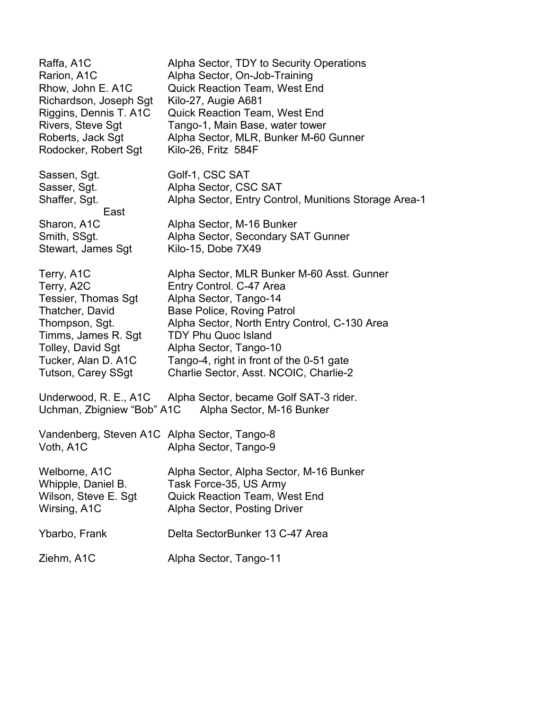Raffa, A1C Alpha Sector, TDY to Security Operations Rarion, A1C Alpha Sector, On-Job-Training Rhow, John E. A1C Quick Reaction Team, West End Richardson, Joseph Sgt Kilo-27, Augie A681 Riggins, Dennis T. A1C Quick Reaction Team, West End Rivers, Steve Sgt Tango-1, Main Base, water tower Roberts, Jack Sgt Alpha Sector, MLR, Bunker M-60 Gunner Rodocker, Robert Sgt Kilo-26, Fritz 584F Sassen, Sqt. Golf-1, CSC SAT Sasser, Sgt. **Alpha Sector, CSC SAT** Shaffer, Sgt. **Alpha Sector, Entry Control, Munitions Storage Area-1** East Sharon, A1C Alpha Sector, M-16 Bunker Smith, SSgt. **Alpha Sector, Secondary SAT Gunner** Stewart, James Sgt Kilo-15, Dobe 7X49 Terry, A1C Alpha Sector, MLR Bunker M-60 Asst. Gunner Terry, A2C Entry Control. C-47 Area Tessier, Thomas Sgt Alpha Sector, Tango-14 Thatcher, David Base Police, Roving Patrol Thompson, Sgt. Alpha Sector, North Entry Control, C-130 Area Timms, James R. Sqt TDY Phu Quoc Island Tolley, David Sgt Alpha Sector, Tango-10 Tucker, Alan D. A1C Tango-4, right in front of the 0-51 gate Tutson, Carey SSgt Charlie Sector, Asst. NCOIC, Charlie-2 Underwood, R. E., A1C Alpha Sector, became Golf SAT-3 rider. Uchman, Zbigniew "Bob" A1C Alpha Sector, M-16 Bunker Vandenberg, Steven A1C Alpha Sector, Tango-8 Voth, A1C Alpha Sector, Tango-9 Welborne, A1C Alpha Sector, Alpha Sector, M-16 Bunker Whipple, Daniel B. Task Force-35, US Army Wilson, Steve E. Sgt Quick Reaction Team, West End Wirsing, A1C Alpha Sector, Posting Driver Ybarbo, Frank Delta SectorBunker 13 C-47 Area Ziehm, A1C Alpha Sector, Tango-11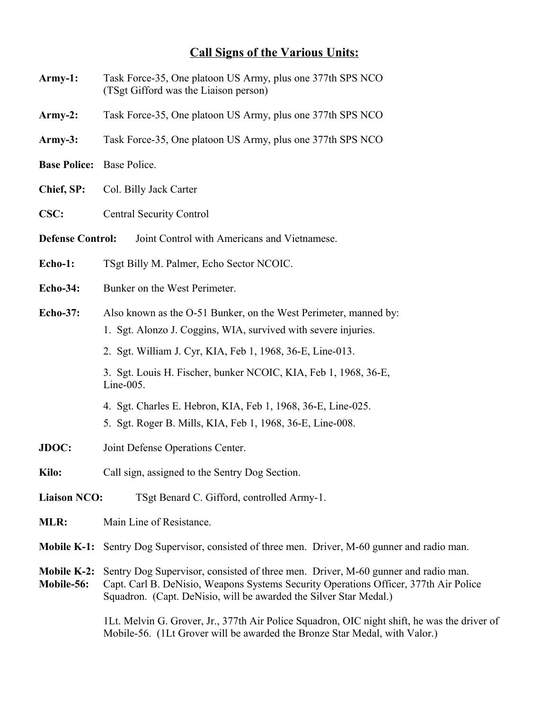## **Call Signs of the Various Units:**

- **Army-1:** Task Force-35, One platoon US Army, plus one 377th SPS NCO (TSgt Gifford was the Liaison person)
- **Army-2:** Task Force-35, One platoon US Army, plus one 377th SPS NCO
- **Army-3:** Task Force-35, One platoon US Army, plus one 377th SPS NCO
- **Base Police:** Base Police.
- **Chief, SP:** Col. Billy Jack Carter
- **CSC:** Central Security Control
- **Defense Control:** Joint Control with Americans and Vietnamese.
- **Echo-1:** TSgt Billy M. Palmer, Echo Sector NCOIC.
- **Echo-34:** Bunker on the West Perimeter.
- **Echo-37:** Also known as the O-51 Bunker, on the West Perimeter, manned by: 1. Sgt. Alonzo J. Coggins, WIA, survived with severe injuries.
	- 2. Sgt. William J. Cyr, KIA, Feb 1, 1968, 36-E, Line-013.
	- 3. Sgt. Louis H. Fischer, bunker NCOIC, KIA, Feb 1, 1968, 36-E, Line-005.
	- 4. Sgt. Charles E. Hebron, KIA, Feb 1, 1968, 36-E, Line-025.
	- 5. Sgt. Roger B. Mills, KIA, Feb 1, 1968, 36-E, Line-008.
- **JDOC:** Joint Defense Operations Center.
- **Kilo:** Call sign, assigned to the Sentry Dog Section.
- **Liaison NCO:** TSgt Benard C. Gifford, controlled Army-1.
- **MLR:** Main Line of Resistance.
- **Mobile K-1:** Sentry Dog Supervisor, consisted of three men. Driver, M-60 gunner and radio man.
- **Mobile K-2:** Sentry Dog Supervisor, consisted of three men. Driver, M-60 gunner and radio man. **Mobile-56:** Capt. Carl B. DeNisio, Weapons Systems Security Operations Officer, 377th Air Police Squadron. (Capt. DeNisio, will be awarded the Silver Star Medal.)

1Lt. Melvin G. Grover, Jr., 377th Air Police Squadron, OIC night shift, he was the driver of Mobile-56. (1Lt Grover will be awarded the Bronze Star Medal, with Valor.)